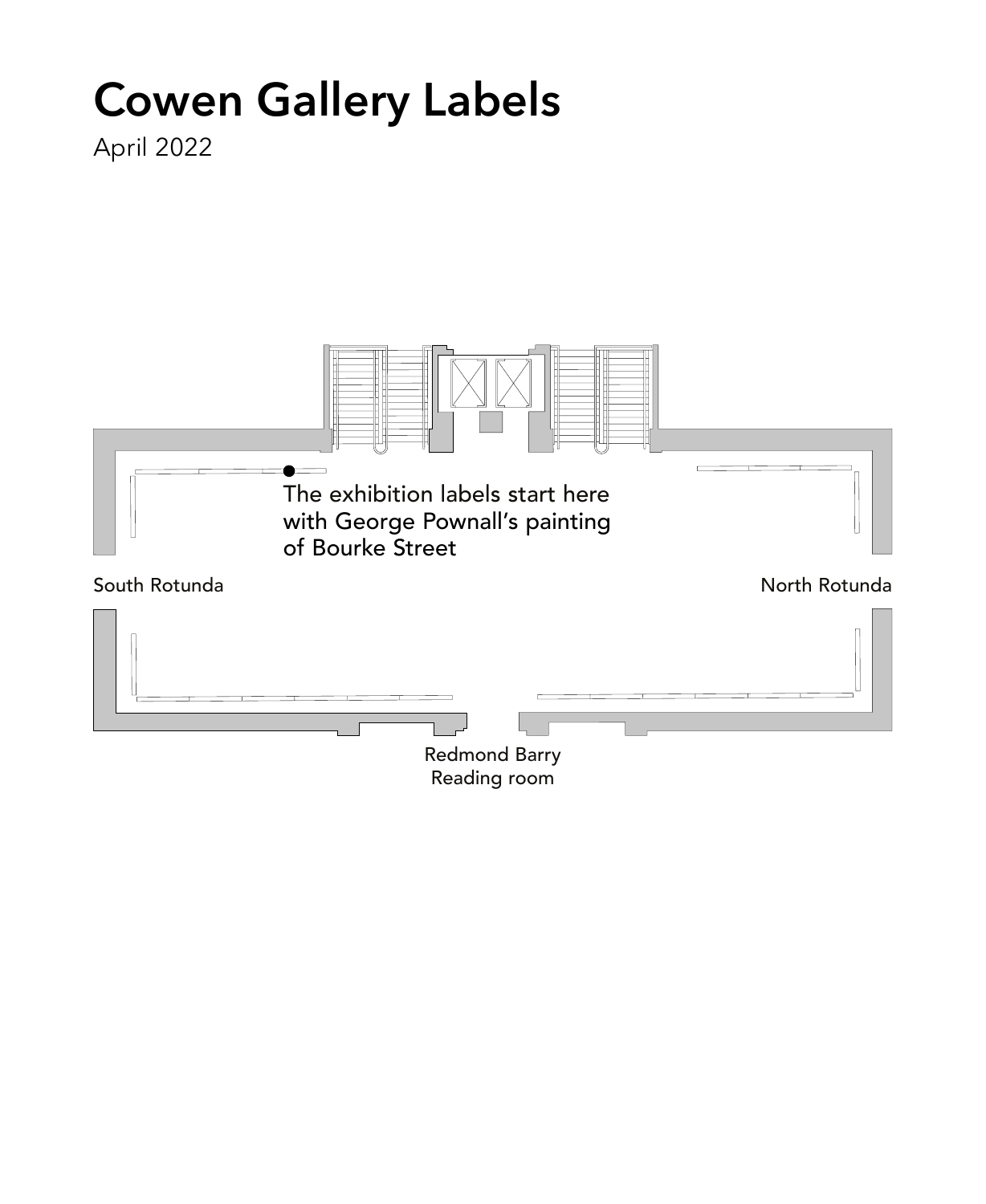# **Cowen Gallery Labels**

April 2022

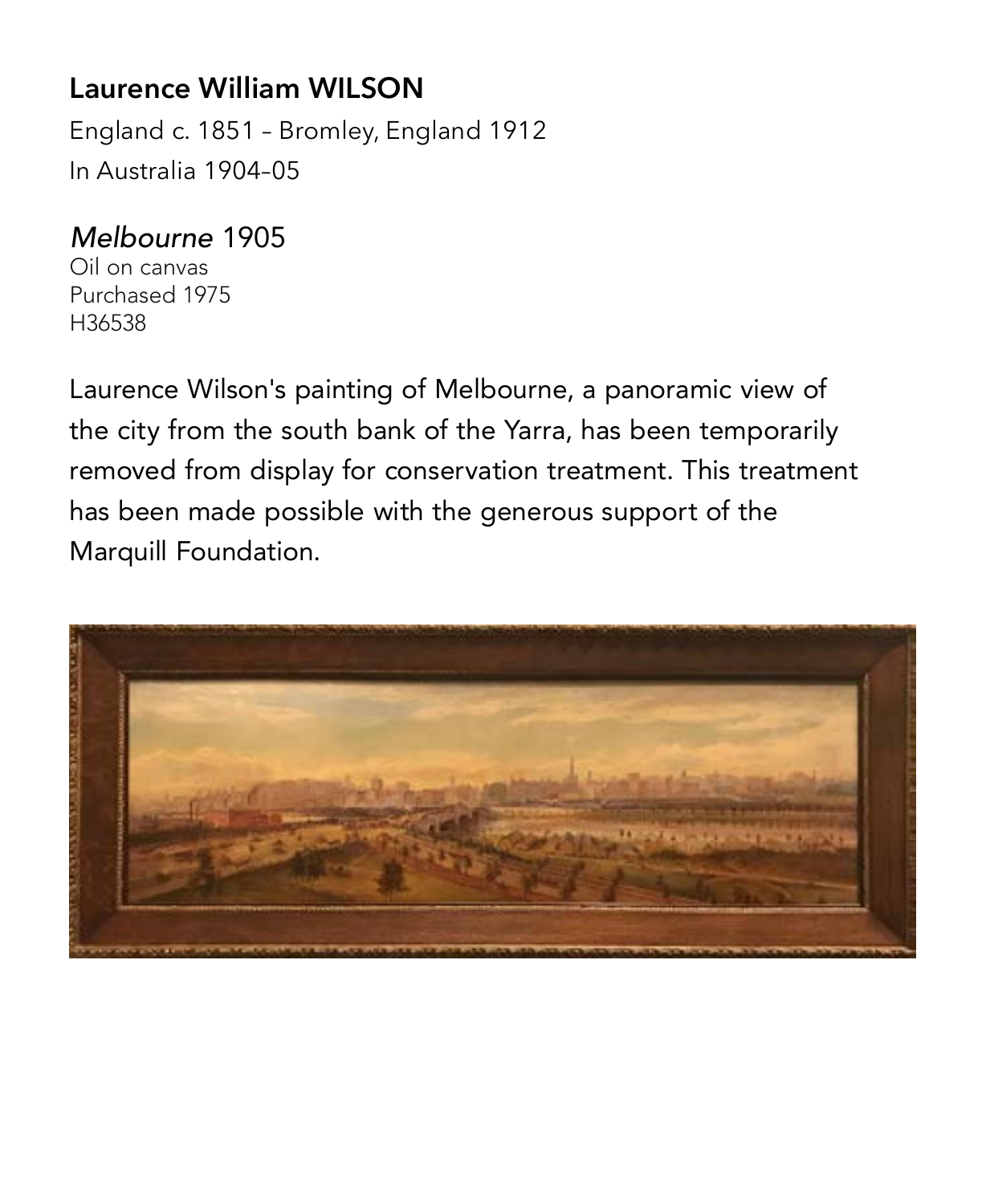#### **Laurence William WILSON**

England c. 1851 – Bromley, England 1912 In Australia 1904–05

#### *Melbourne* 1905

Oil on canvas Purchased 1975 H36538

Laurence Wilson's painting of Melbourne, a panoramic view of the city from the south bank of the Yarra, has been temporarily removed from display for conservation treatment. This treatment has been made possible with the generous support of the Marquill Foundation.

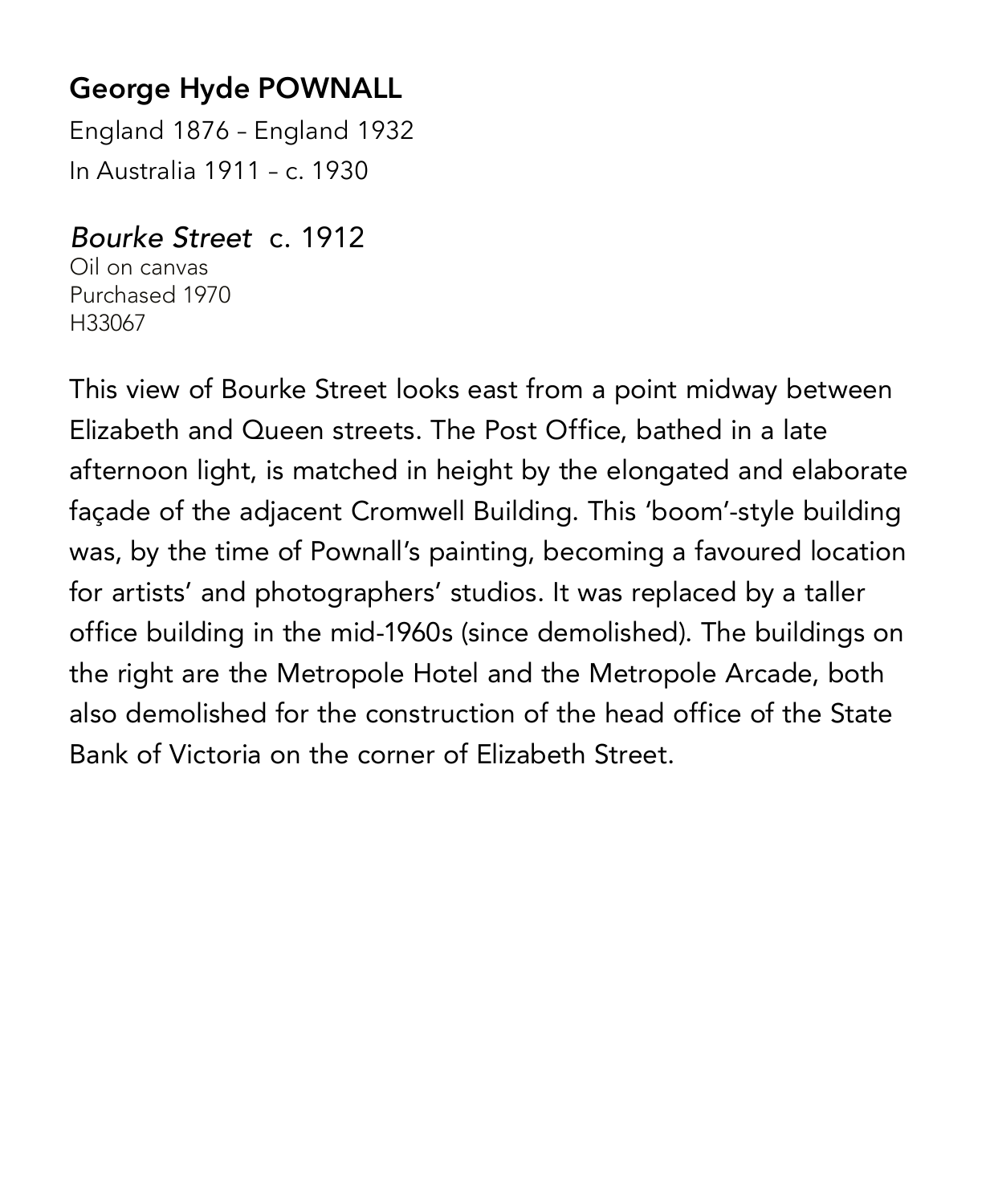# **George Hyde POWNALL**

England 1876 – England 1932 In Australia 1911 – c. 1930

#### *Bourke Street* c. 1912

Oil on canvas Purchased 1970 H33067

This view of Bourke Street looks east from a point midway between Elizabeth and Queen streets. The Post Office, bathed in a late afternoon light, is matched in height by the elongated and elaborate façade of the adjacent Cromwell Building. This 'boom'-style building was, by the time of Pownall's painting, becoming a favoured location for artists' and photographers' studios. It was replaced by a taller office building in the mid-1960s (since demolished). The buildings on the right are the Metropole Hotel and the Metropole Arcade, both also demolished for the construction of the head office of the State Bank of Victoria on the corner of Elizabeth Street.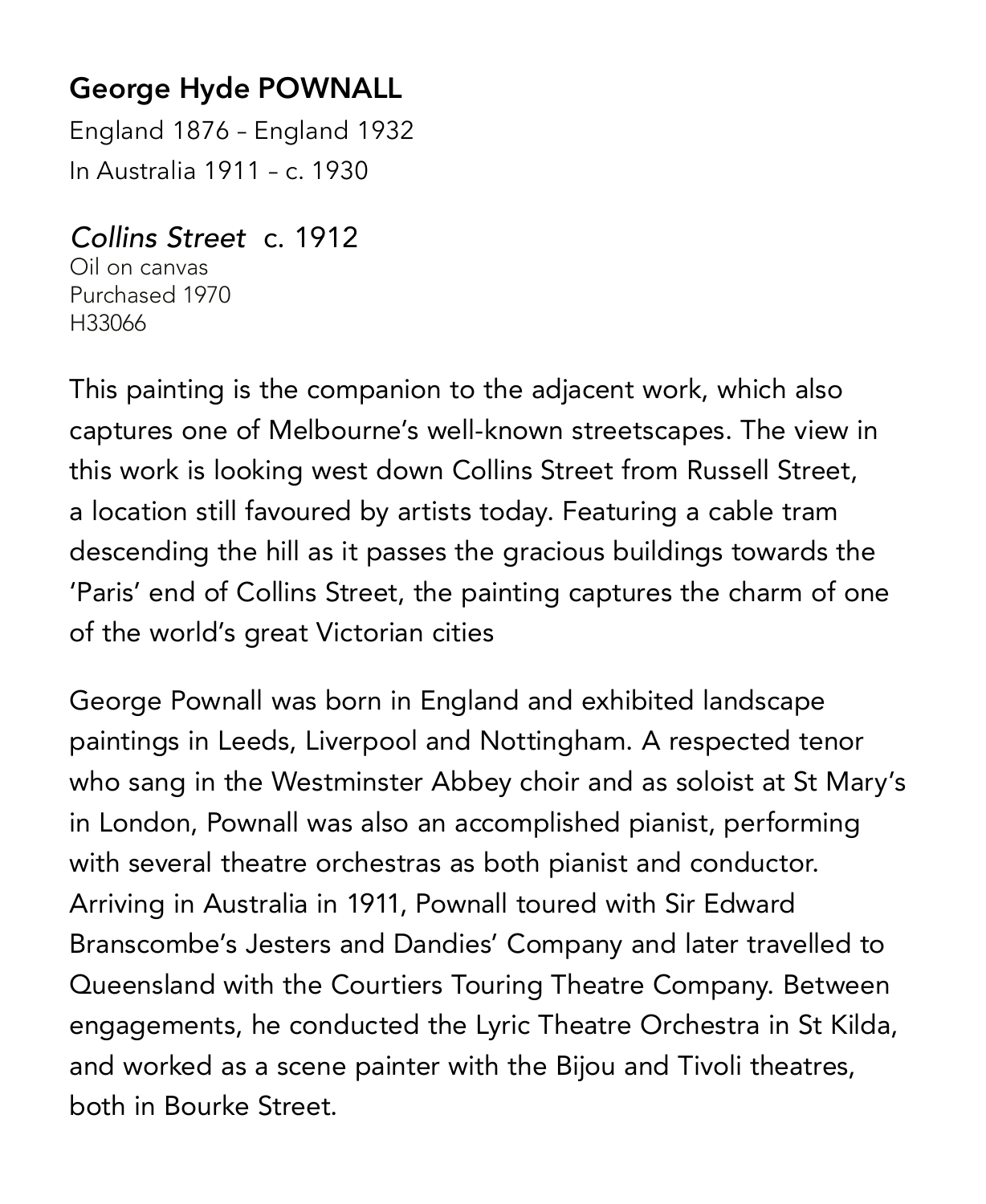# **George Hyde POWNALL**

England 1876 – England 1932 In Australia 1911 – c. 1930

#### *Collins Street* c. 1912

Oil on canvas Purchased 1970 H33066

This painting is the companion to the adjacent work, which also captures one of Melbourne's well-known streetscapes. The view in this work is looking west down Collins Street from Russell Street, a location still favoured by artists today. Featuring a cable tram descending the hill as it passes the gracious buildings towards the 'Paris' end of Collins Street, the painting captures the charm of one of the world's great Victorian cities

George Pownall was born in England and exhibited landscape paintings in Leeds, Liverpool and Nottingham. A respected tenor who sang in the Westminster Abbey choir and as soloist at St Mary's in London, Pownall was also an accomplished pianist, performing with several theatre orchestras as both pianist and conductor. Arriving in Australia in 1911, Pownall toured with Sir Edward Branscombe's Jesters and Dandies' Company and later travelled to Queensland with the Courtiers Touring Theatre Company. Between engagements, he conducted the Lyric Theatre Orchestra in St Kilda, and worked as a scene painter with the Bijou and Tivoli theatres, both in Bourke Street.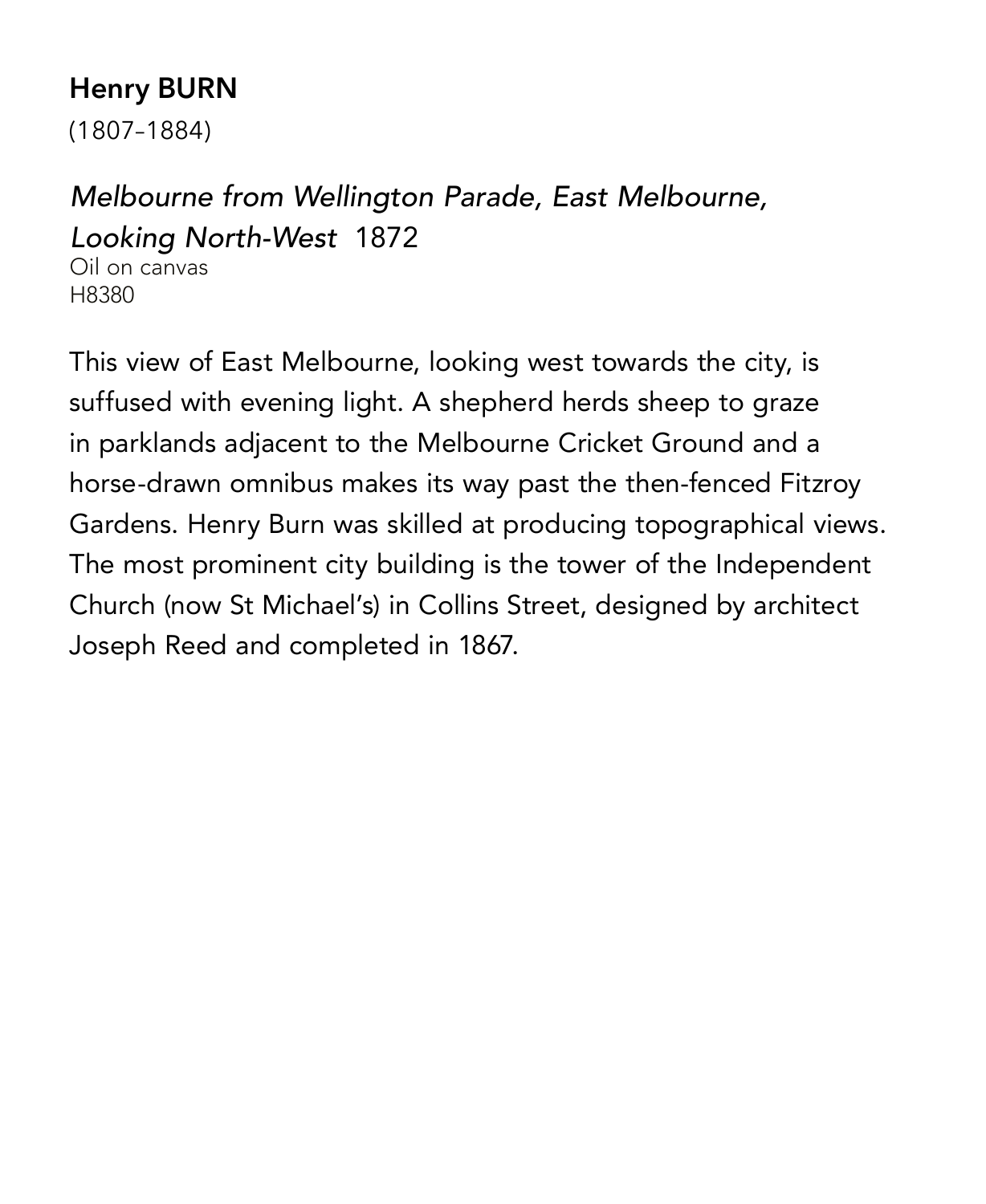# **Henry BURN**

(1807–1884)

# *Melbourne from Wellington Parade, East Melbourne, Looking North-West* 1872

Oil on canvas H8380

This view of East Melbourne, looking west towards the city, is suffused with evening light. A shepherd herds sheep to graze in parklands adjacent to the Melbourne Cricket Ground and a horse-drawn omnibus makes its way past the then-fenced Fitzroy Gardens. Henry Burn was skilled at producing topographical views. The most prominent city building is the tower of the Independent Church (now St Michael's) in Collins Street, designed by architect Joseph Reed and completed in 1867.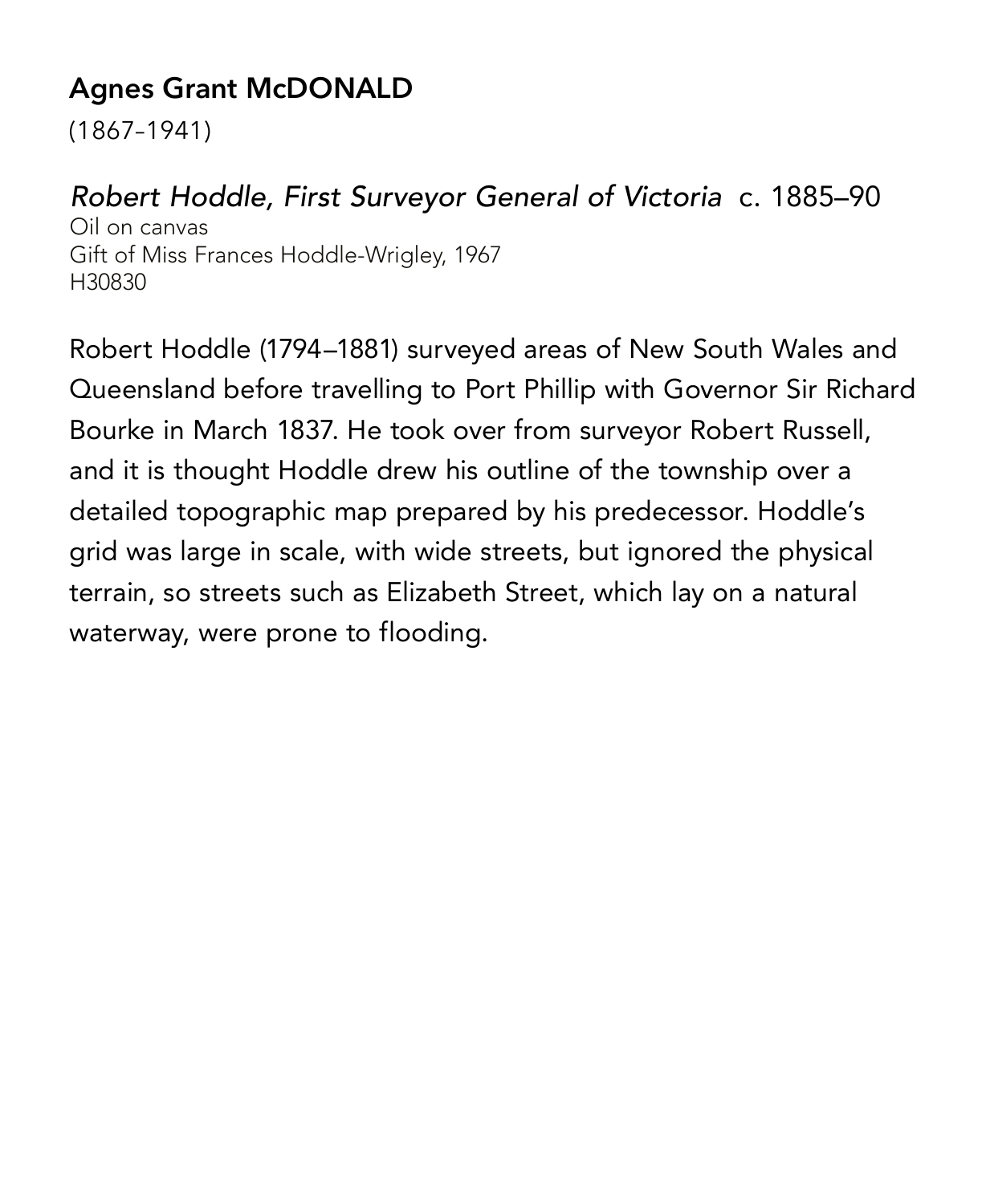# **Agnes Grant McDONALD**

(1867–1941)

#### *Robert Hoddle, First Surveyor General of Victoria* c. 1885–90

Oil on canvas Gift of Miss Frances Hoddle-Wrigley, 1967 H30830

Robert Hoddle (1794–1881) surveyed areas of New South Wales and Queensland before travelling to Port Phillip with Governor Sir Richard Bourke in March 1837. He took over from surveyor Robert Russell, and it is thought Hoddle drew his outline of the township over a detailed topographic map prepared by his predecessor. Hoddle's grid was large in scale, with wide streets, but ignored the physical terrain, so streets such as Elizabeth Street, which lay on a natural waterway, were prone to flooding.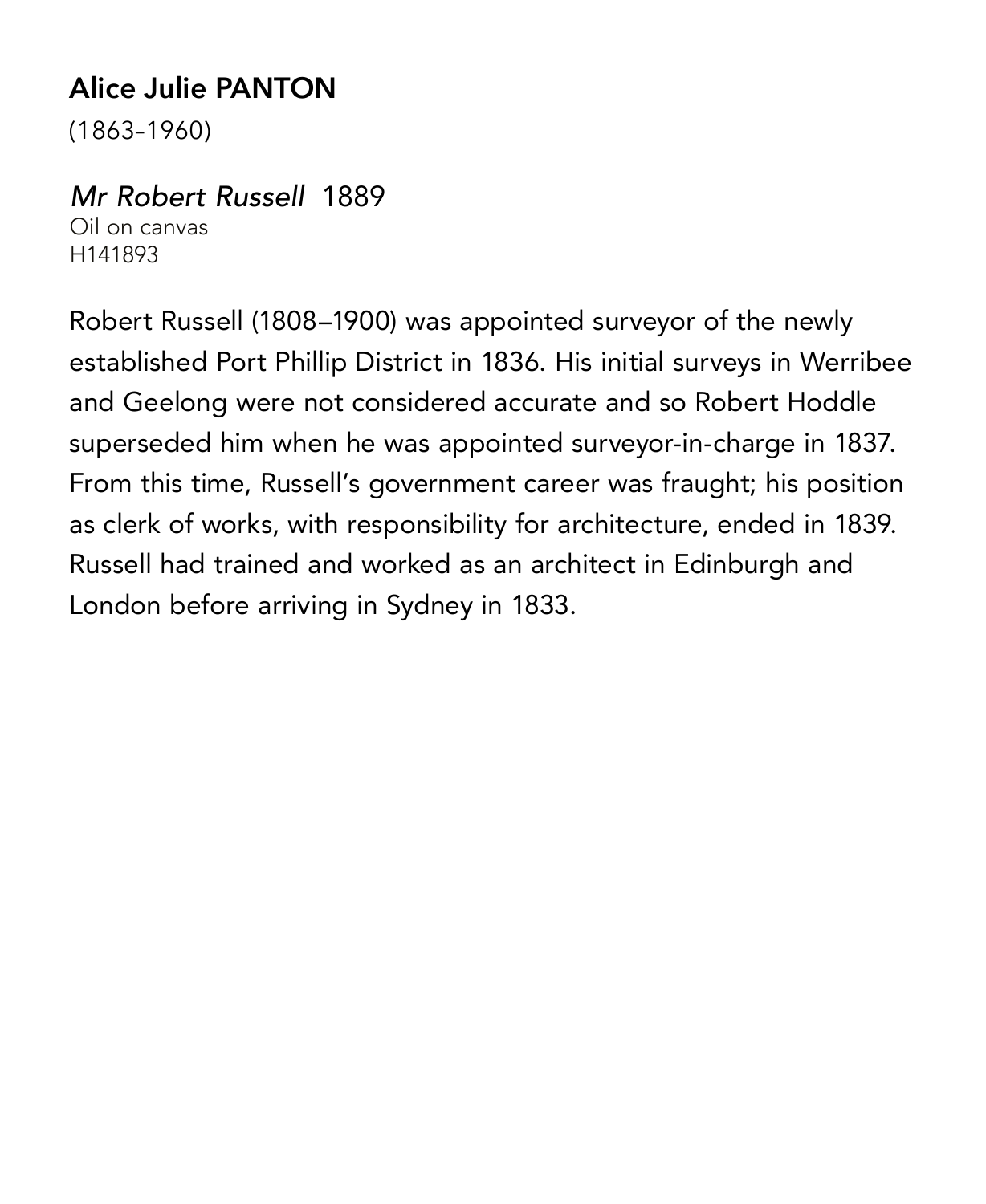# **Alice Julie PANTON**

(1863–1960)

*Mr Robert Russell* 1889 Oil on canvas H141893

Robert Russell (1808–1900) was appointed surveyor of the newly established Port Phillip District in 1836. His initial surveys in Werribee and Geelong were not considered accurate and so Robert Hoddle superseded him when he was appointed surveyor-in-charge in 1837. From this time, Russell's government career was fraught; his position as clerk of works, with responsibility for architecture, ended in 1839. Russell had trained and worked as an architect in Edinburgh and London before arriving in Sydney in 1833.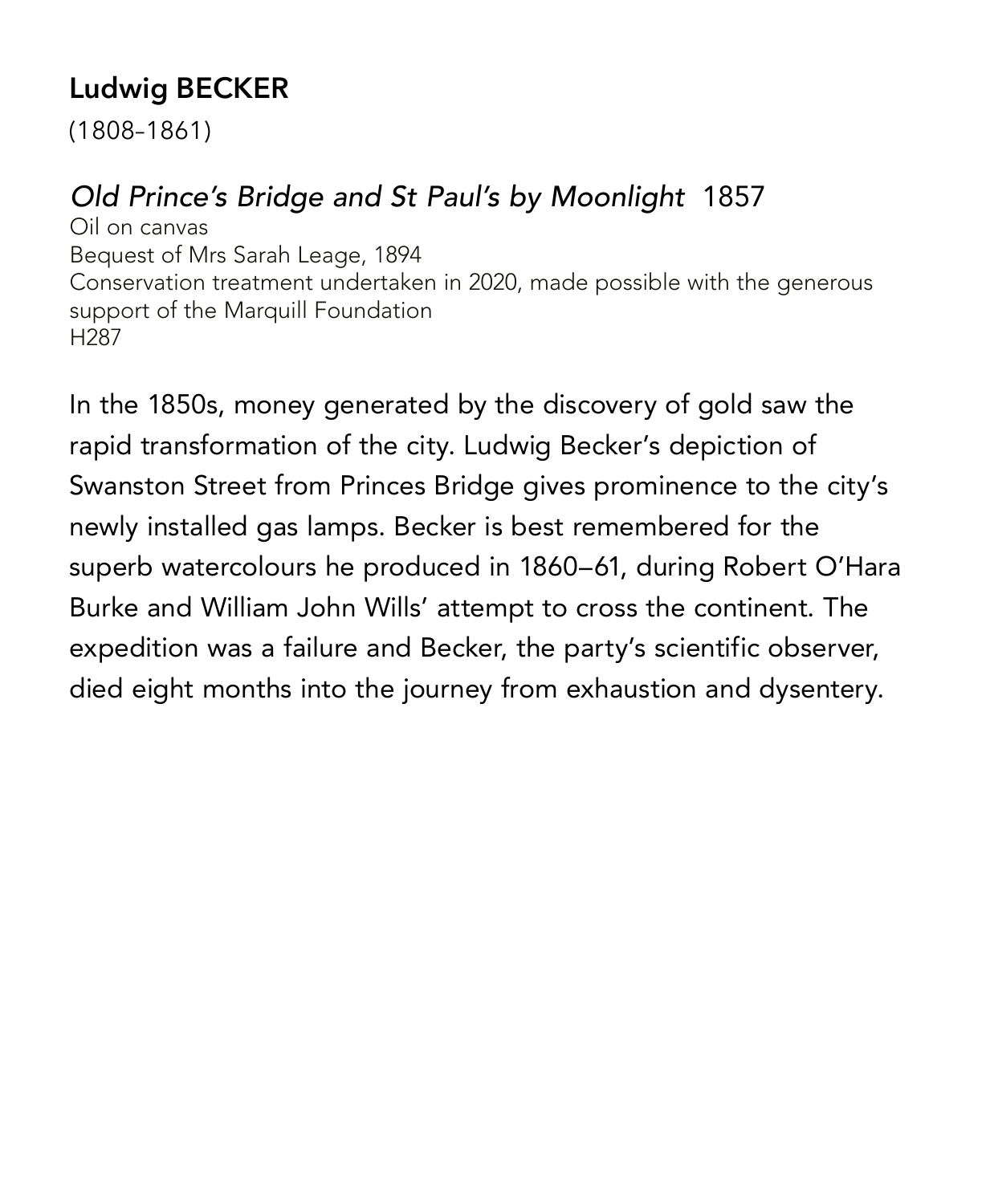# **Ludwig BECKER**

(1808–1861)

#### *Old Prince's Bridge and St Paul's by Moonlight* 1857

Oil on canvas Bequest of Mrs Sarah Leage, 1894 Conservation treatment undertaken in 2020, made possible with the generous support of the Marquill Foundation H287

In the 1850s, money generated by the discovery of gold saw the rapid transformation of the city. Ludwig Becker's depiction of Swanston Street from Princes Bridge gives prominence to the city's newly installed gas lamps. Becker is best remembered for the superb watercolours he produced in 1860–61, during Robert O'Hara Burke and William John Wills' attempt to cross the continent. The expedition was a failure and Becker, the party's scientific observer, died eight months into the journey from exhaustion and dysentery.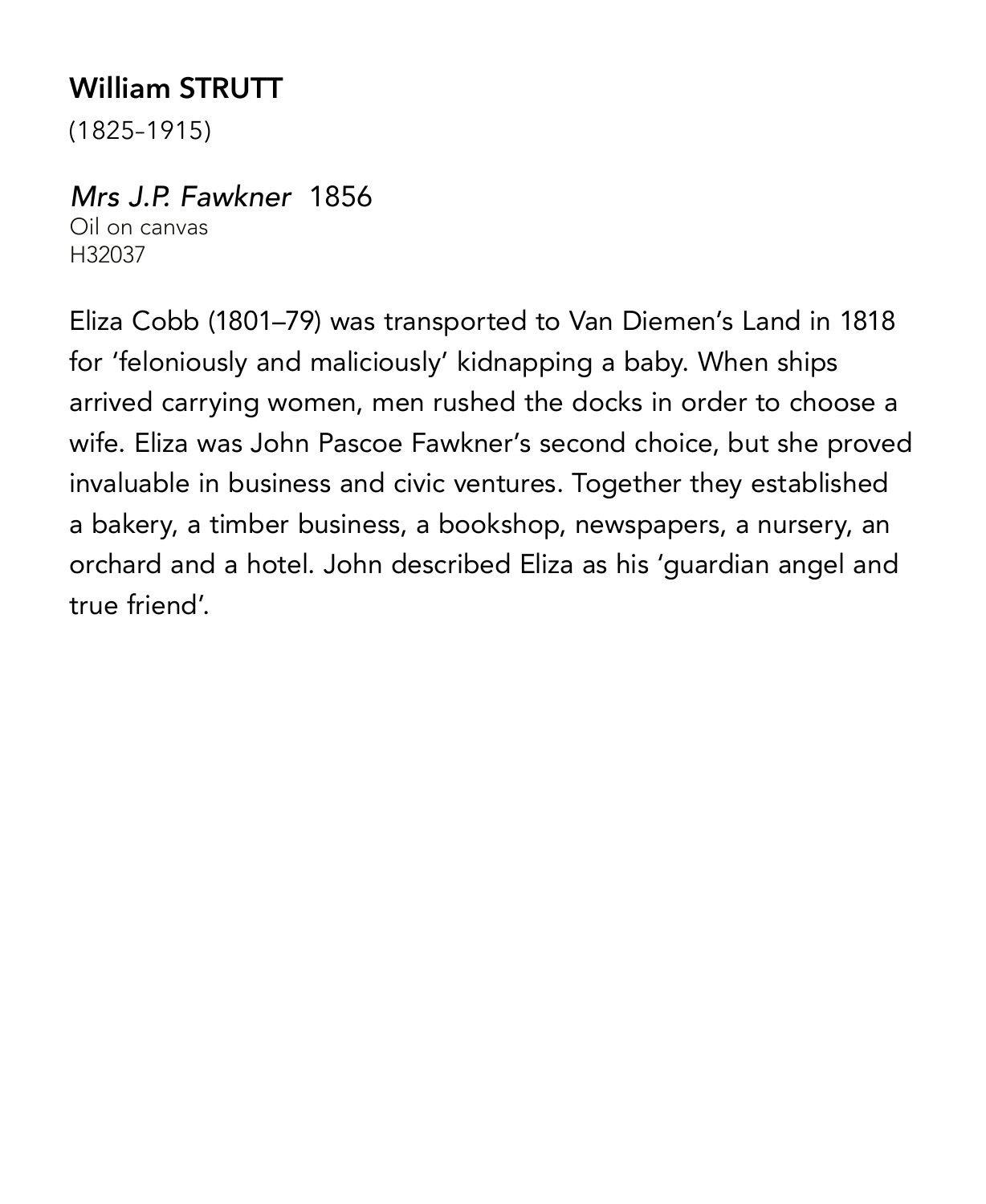# **William STRUTT**

(1825–1915)

# *Mrs J.P. Fawkner* 1856

Oil on canvas H32037

Eliza Cobb (1801–79) was transported to Van Diemen's Land in 1818 for 'feloniously and maliciously' kidnapping a baby. When ships arrived carrying women, men rushed the docks in order to choose a wife. Eliza was John Pascoe Fawkner's second choice, but she proved invaluable in business and civic ventures. Together they established a bakery, a timber business, a bookshop, newspapers, a nursery, an orchard and a hotel. John described Eliza as his 'guardian angel and true friend'.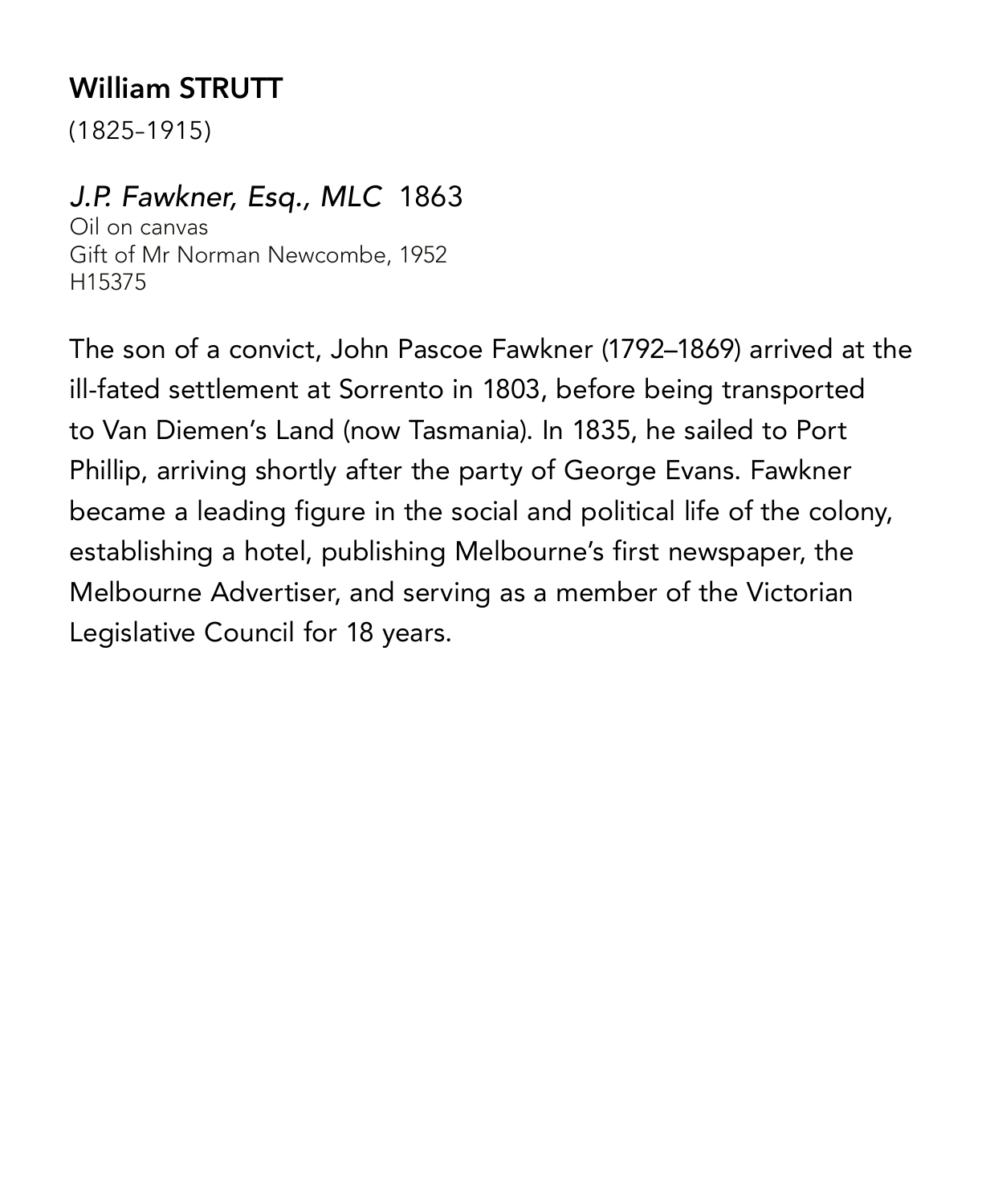# **William STRUTT**

(1825–1915)

#### *J.P. Fawkner, Esq., MLC* 1863

Oil on canvas Gift of Mr Norman Newcombe, 1952 H15375

The son of a convict, John Pascoe Fawkner (1792–1869) arrived at the ill-fated settlement at Sorrento in 1803, before being transported to Van Diemen's Land (now Tasmania). In 1835, he sailed to Port Phillip, arriving shortly after the party of George Evans. Fawkner became a leading figure in the social and political life of the colony, establishing a hotel, publishing Melbourne's first newspaper, the Melbourne Advertiser, and serving as a member of the Victorian Legislative Council for 18 years.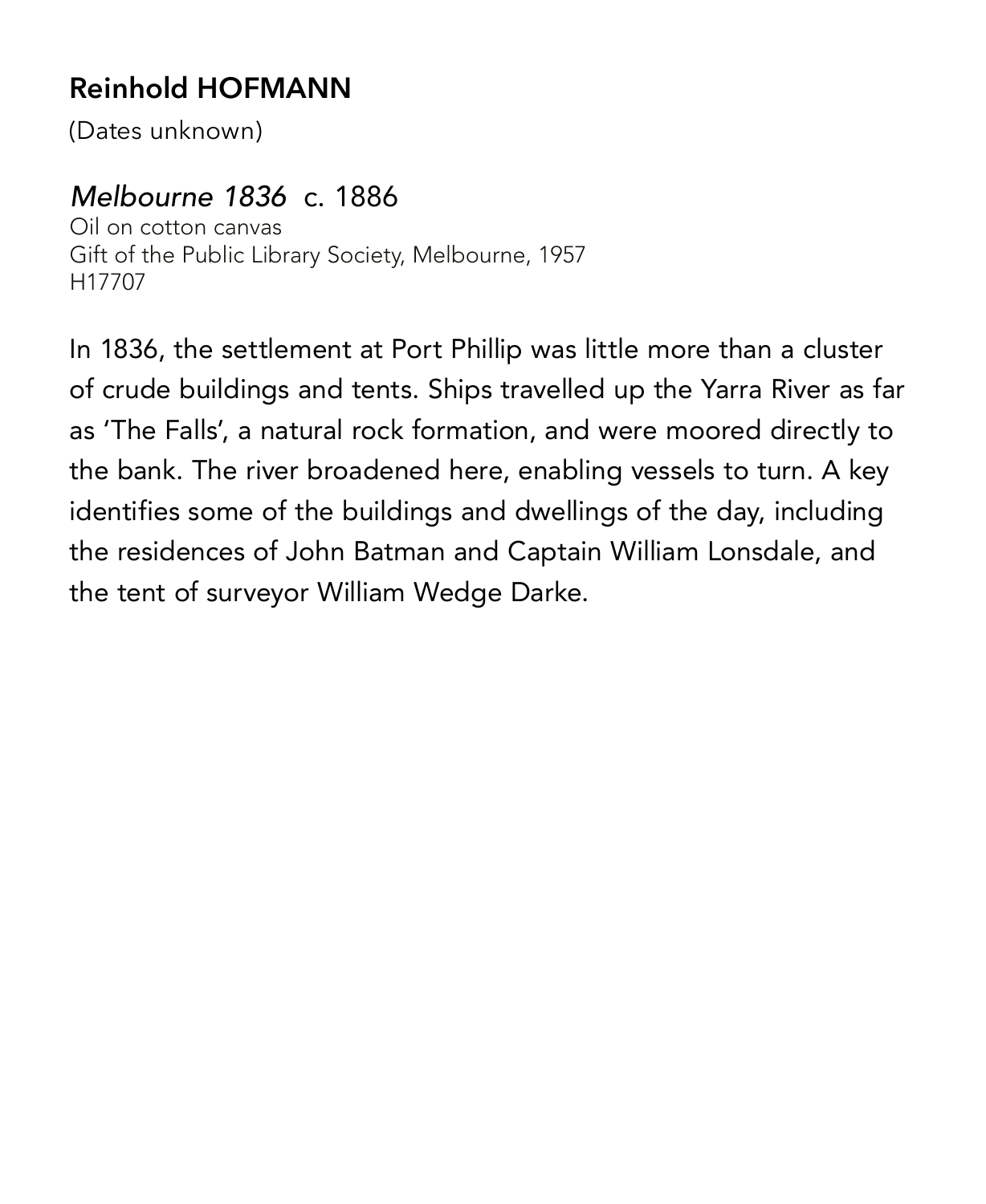# **Reinhold HOFMANN**

(Dates unknown)

#### *Melbourne 1836* c. 1886

Oil on cotton canvas Gift of the Public Library Society, Melbourne, 1957 H17707

In 1836, the settlement at Port Phillip was little more than a cluster of crude buildings and tents. Ships travelled up the Yarra River as far as 'The Falls', a natural rock formation, and were moored directly to the bank. The river broadened here, enabling vessels to turn. A key identifies some of the buildings and dwellings of the day, including the residences of John Batman and Captain William Lonsdale, and the tent of surveyor William Wedge Darke.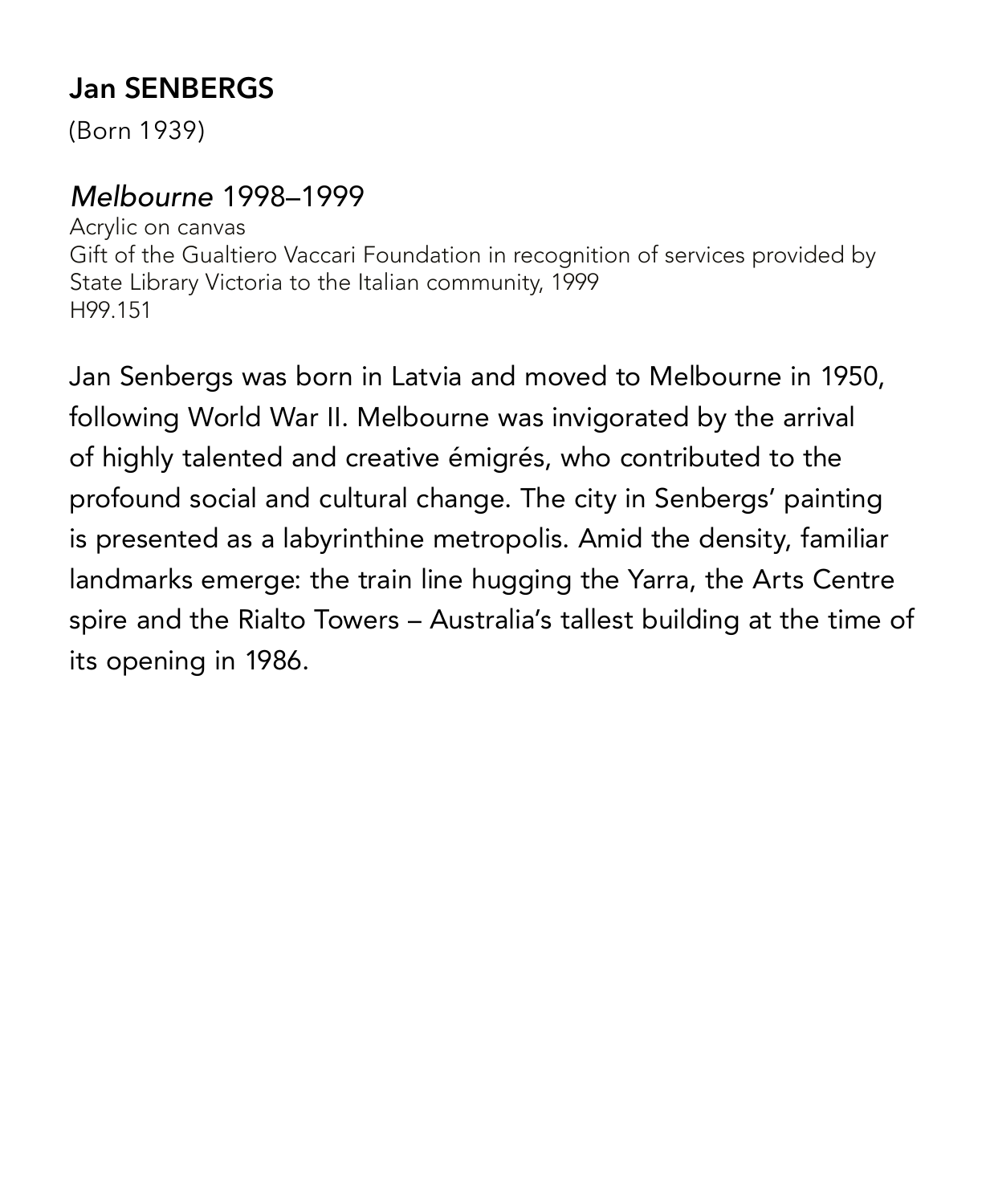# **Jan SENBERGS**

(Born 1939)

#### *Melbourne* 1998–1999

Acrylic on canvas Gift of the Gualtiero Vaccari Foundation in recognition of services provided by State Library Victoria to the Italian community, 1999 H99.151

Jan Senbergs was born in Latvia and moved to Melbourne in 1950, following World War II. Melbourne was invigorated by the arrival of highly talented and creative émigrés, who contributed to the profound social and cultural change. The city in Senbergs' painting is presented as a labyrinthine metropolis. Amid the density, familiar landmarks emerge: the train line hugging the Yarra, the Arts Centre spire and the Rialto Towers – Australia's tallest building at the time of its opening in 1986.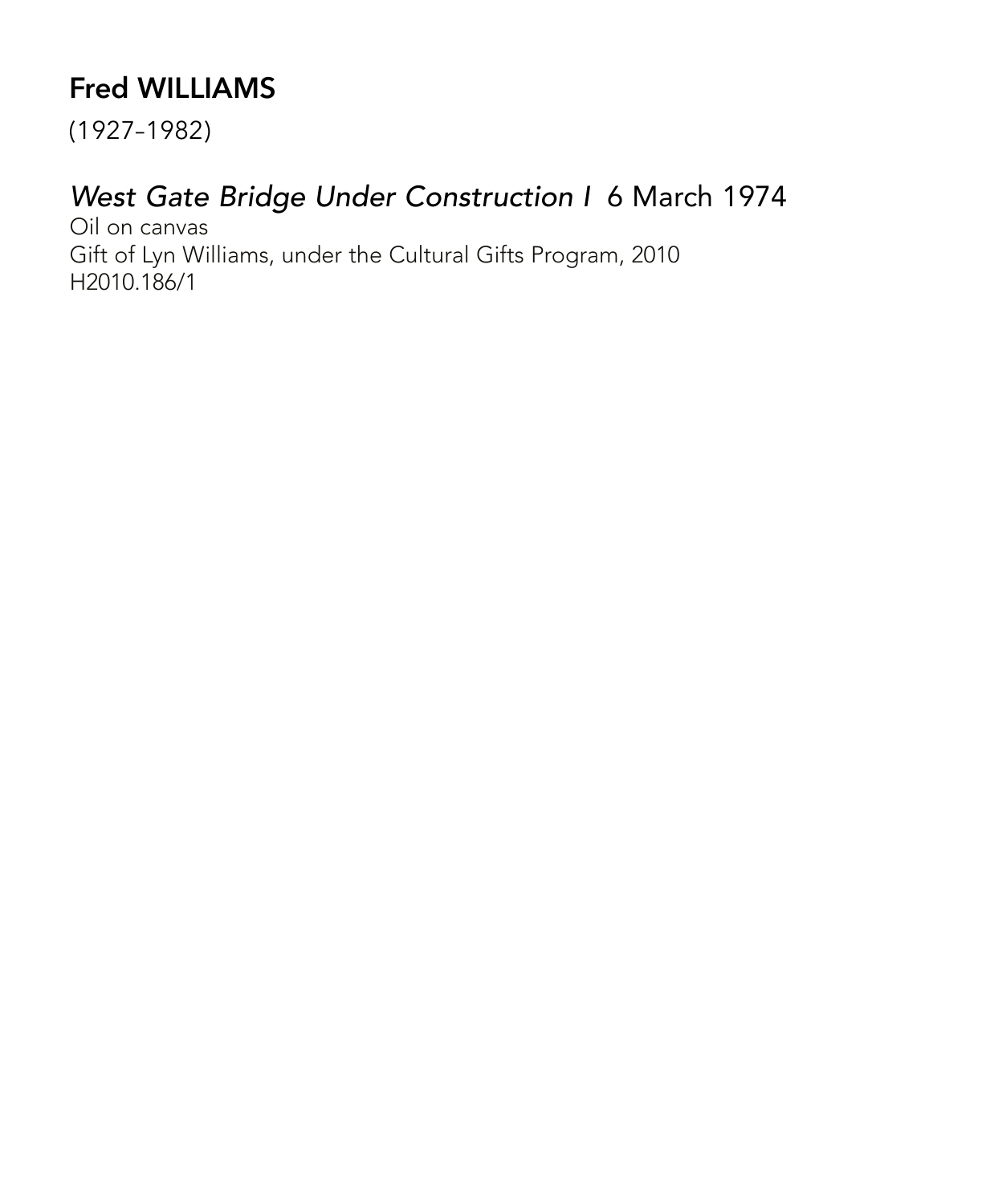# **Fred WILLIAMS**

(1927–1982)

#### *West Gate Bridge Under Construction I* 6 March 1974

Oil on canvas Gift of Lyn Williams, under the Cultural Gifts Program, 2010 H2010.186/1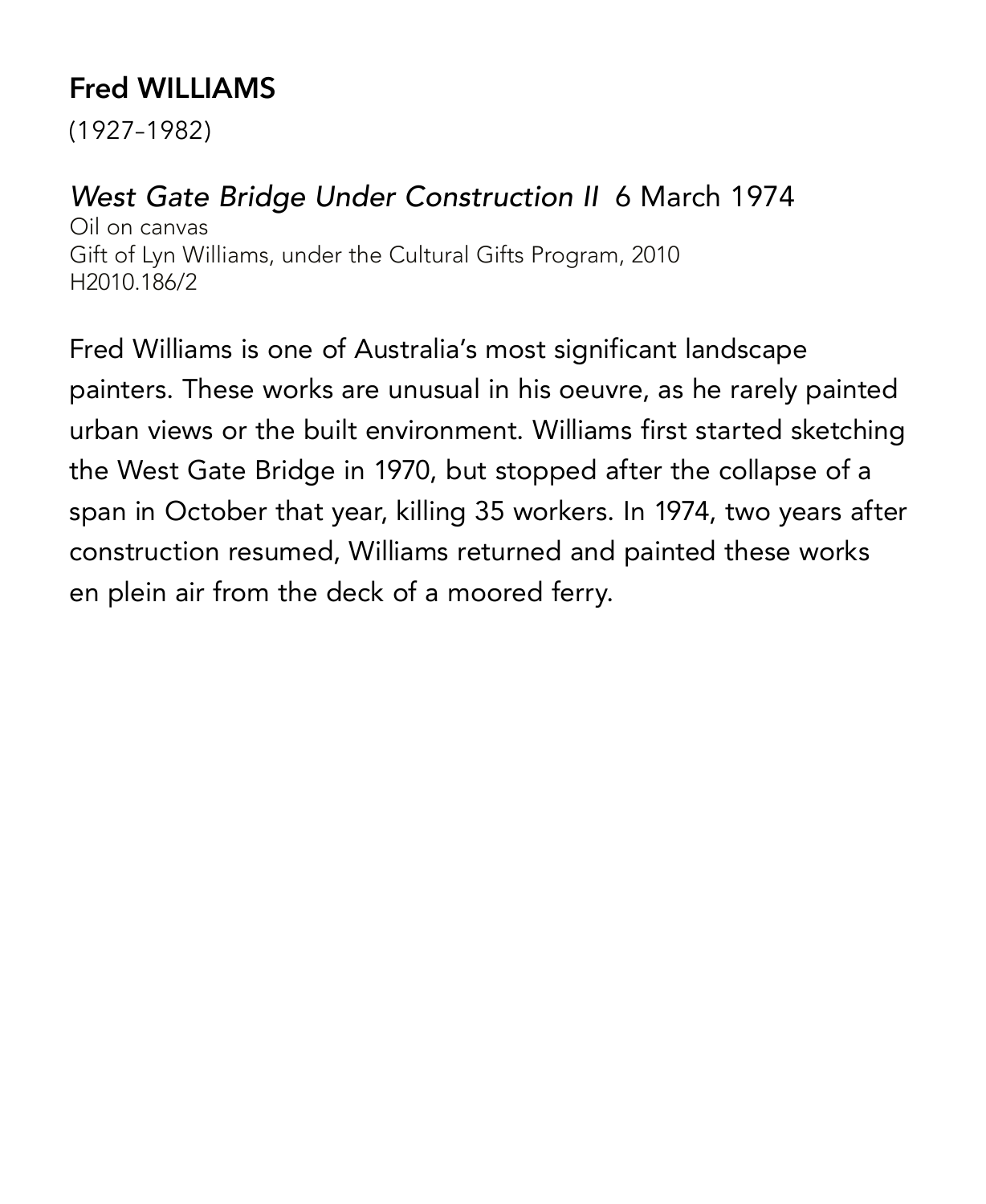# **Fred WILLIAMS**

(1927–1982)

#### *West Gate Bridge Under Construction II* 6 March 1974

Oil on canvas Gift of Lyn Williams, under the Cultural Gifts Program, 2010 H2010.186/2

Fred Williams is one of Australia's most significant landscape painters. These works are unusual in his oeuvre, as he rarely painted urban views or the built environment. Williams first started sketching the West Gate Bridge in 1970, but stopped after the collapse of a span in October that year, killing 35 workers. In 1974, two years after construction resumed, Williams returned and painted these works en plein air from the deck of a moored ferry.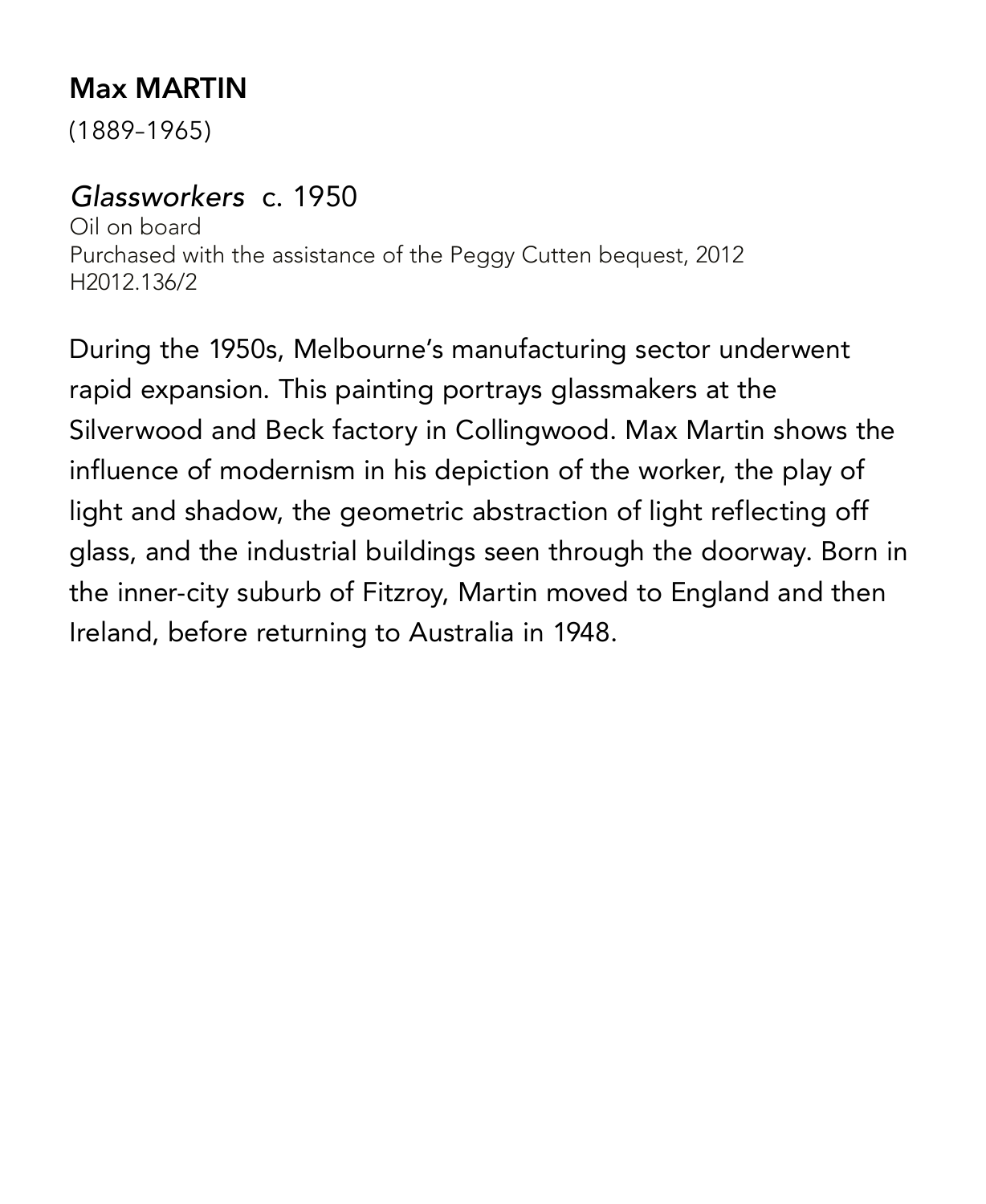### **Max MARTIN**

(1889–1965)

#### *Glassworkers* c. 1950

Oil on board Purchased with the assistance of the Peggy Cutten bequest, 2012 H2012.136/2

During the 1950s, Melbourne's manufacturing sector underwent rapid expansion. This painting portrays glassmakers at the Silverwood and Beck factory in Collingwood. Max Martin shows the influence of modernism in his depiction of the worker, the play of light and shadow, the geometric abstraction of light reflecting off glass, and the industrial buildings seen through the doorway. Born in the inner-city suburb of Fitzroy, Martin moved to England and then Ireland, before returning to Australia in 1948.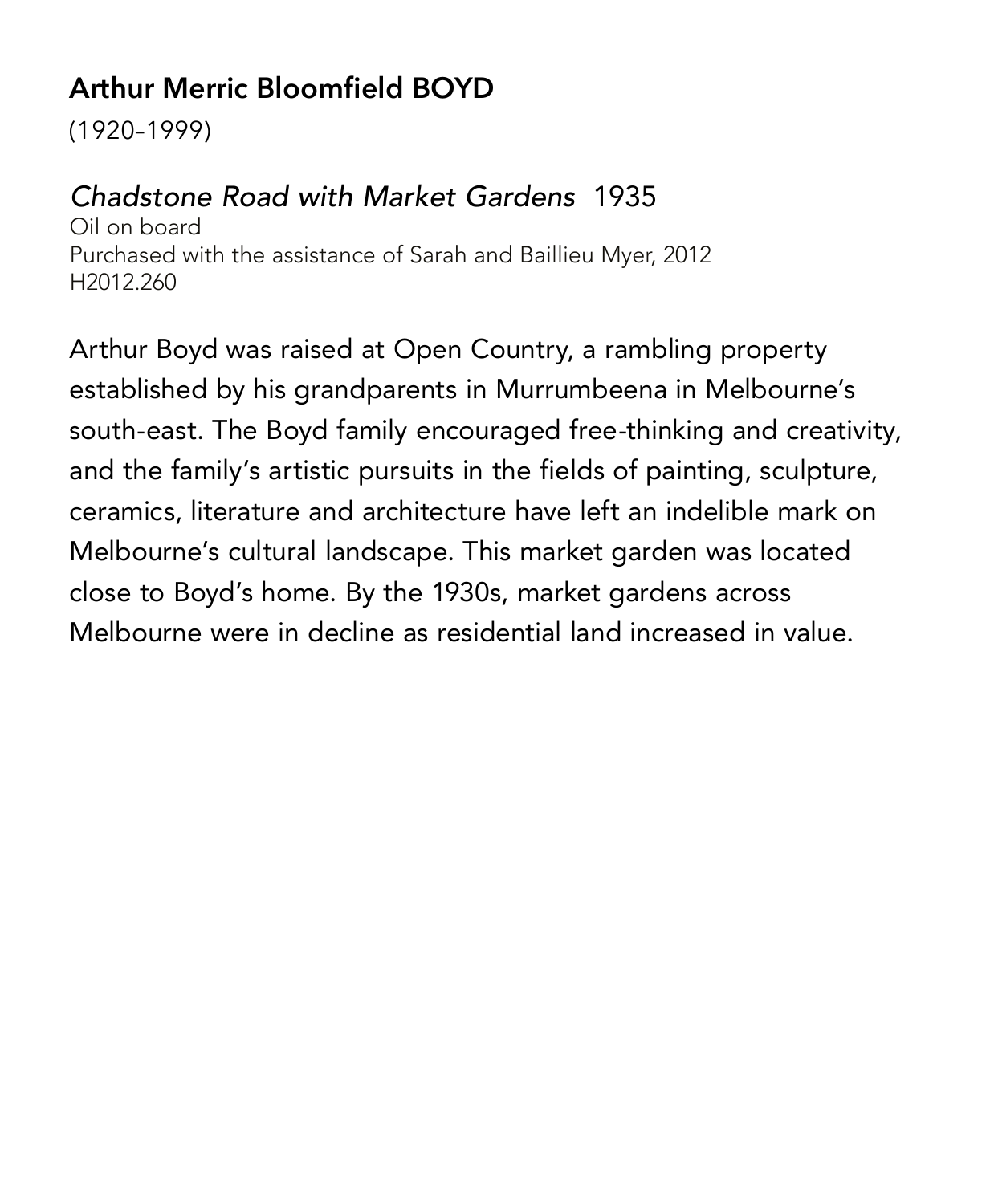# **Arthur Merric Bloomfield BOYD**

(1920–1999)

#### *Chadstone Road with Market Gardens* 1935

Oil on board Purchased with the assistance of Sarah and Baillieu Myer, 2012 H2012.260

Arthur Boyd was raised at Open Country, a rambling property established by his grandparents in Murrumbeena in Melbourne's south-east. The Boyd family encouraged free-thinking and creativity, and the family's artistic pursuits in the fields of painting, sculpture, ceramics, literature and architecture have left an indelible mark on Melbourne's cultural landscape. This market garden was located close to Boyd's home. By the 1930s, market gardens across Melbourne were in decline as residential land increased in value.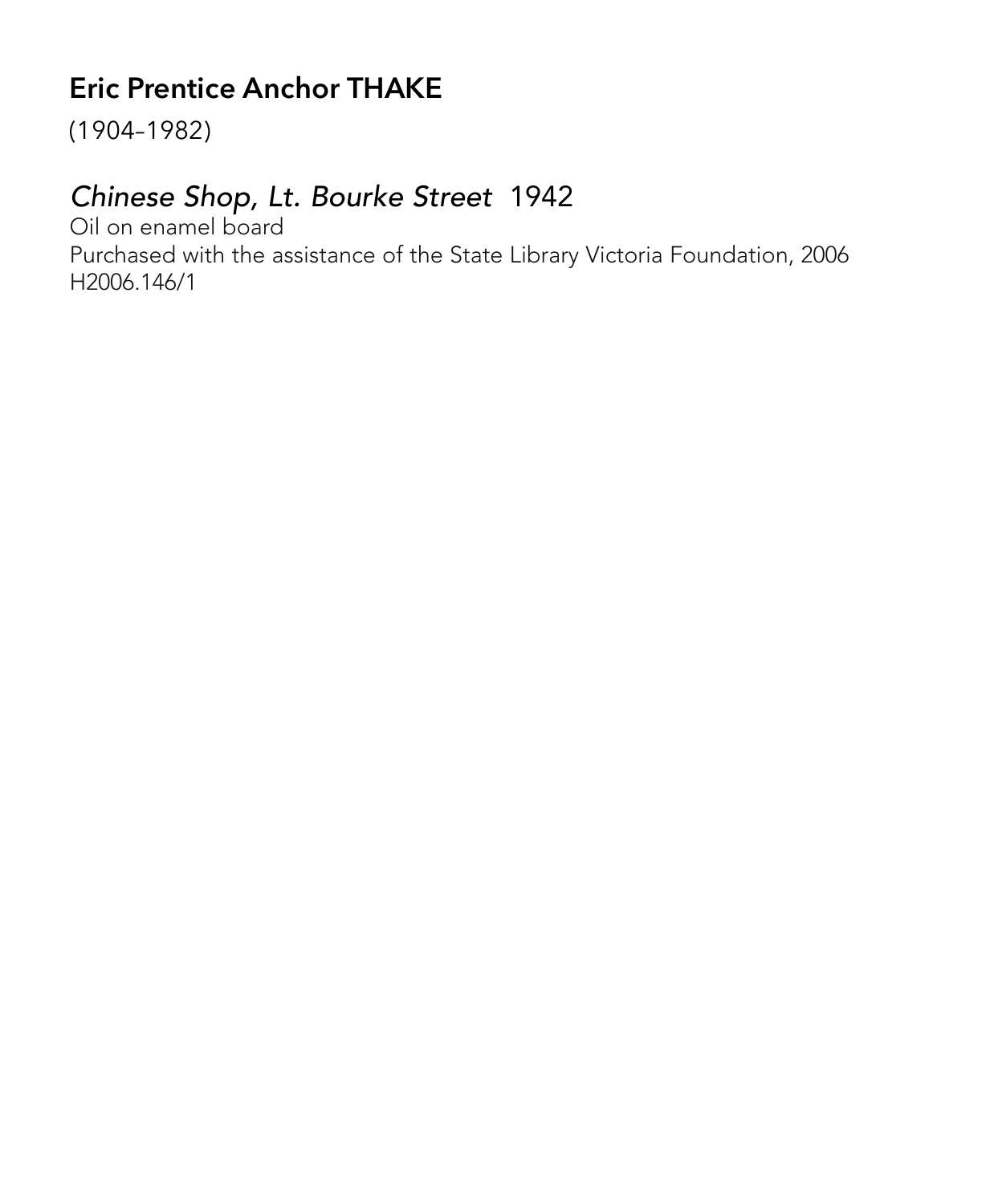# **Eric Prentice Anchor THAKE**

(1904–1982)

#### *Chinese Shop, Lt. Bourke Street* 1942

Oil on enamel board Purchased with the assistance of the State Library Victoria Foundation, 2006 H2006.146/1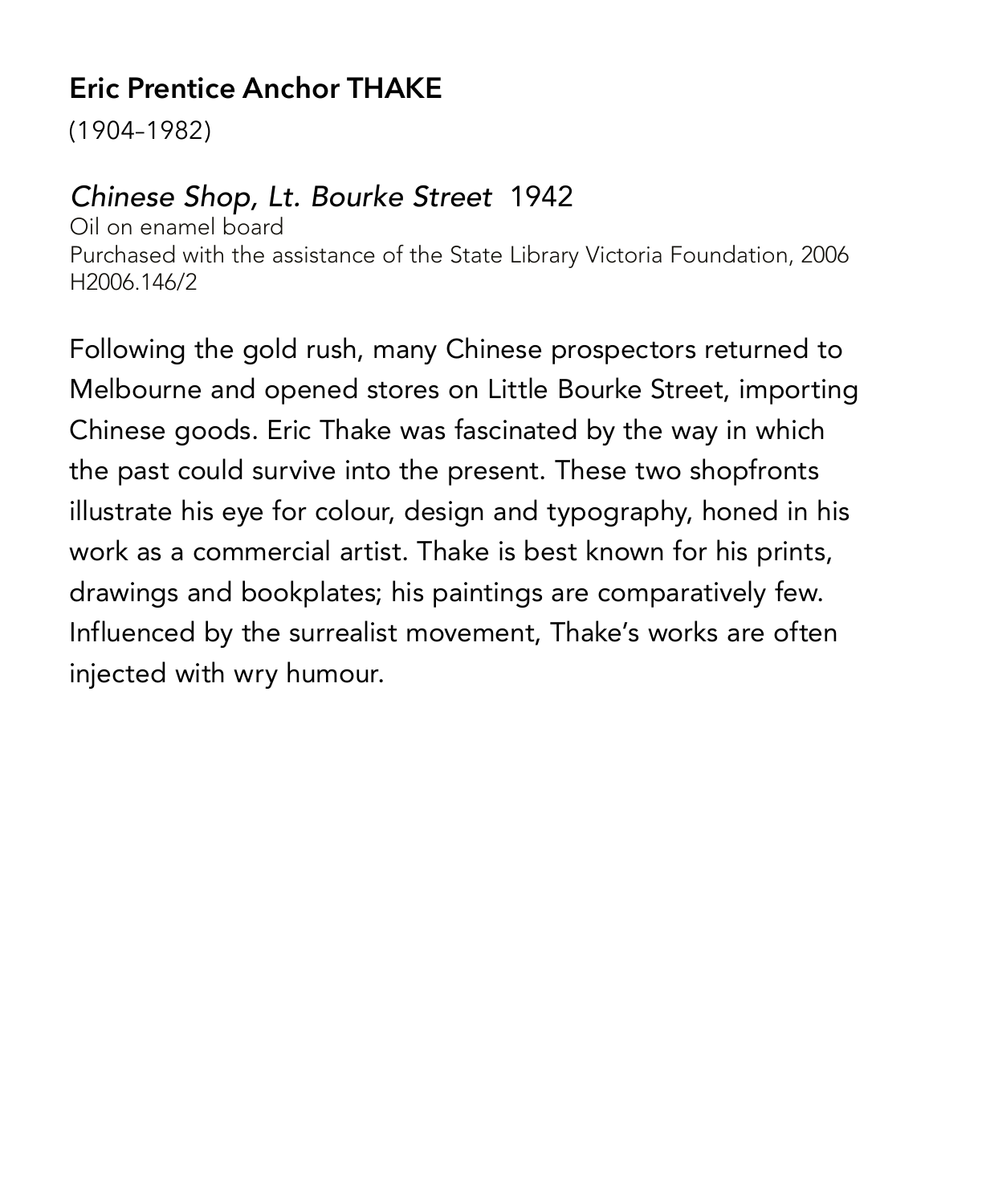### **Eric Prentice Anchor THAKE**

(1904–1982)

#### *Chinese Shop, Lt. Bourke Street* 1942

Oil on enamel board Purchased with the assistance of the State Library Victoria Foundation, 2006 H2006.146/2

Following the gold rush, many Chinese prospectors returned to Melbourne and opened stores on Little Bourke Street, importing Chinese goods. Eric Thake was fascinated by the way in which the past could survive into the present. These two shopfronts illustrate his eye for colour, design and typography, honed in his work as a commercial artist. Thake is best known for his prints, drawings and bookplates; his paintings are comparatively few. Influenced by the surrealist movement, Thake's works are often injected with wry humour.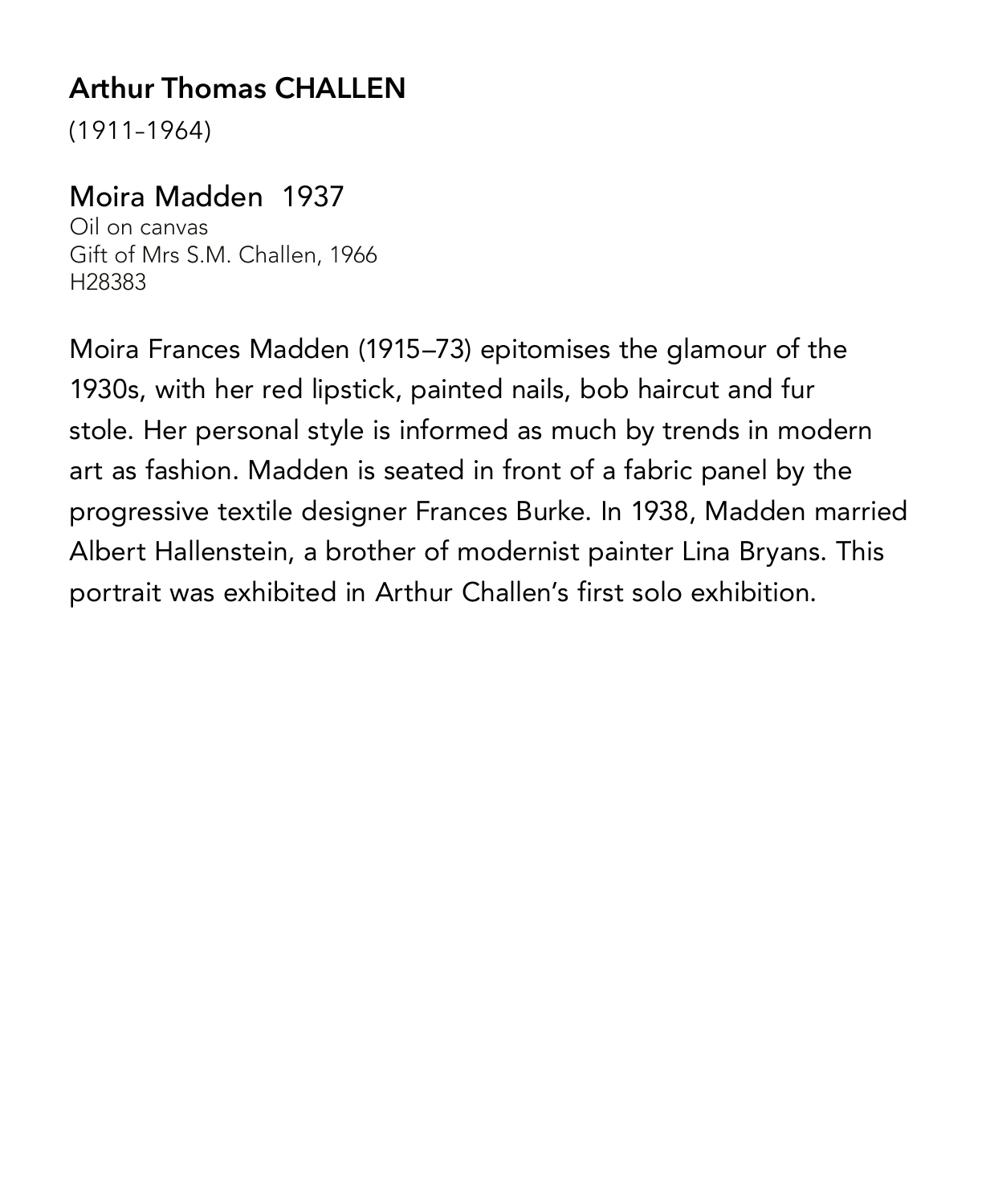# **Arthur Thomas CHALLEN**

(1911–1964)

#### Moira Madden1937

Oil on canvas Gift of Mrs S.M. Challen, 1966 H28383

Moira Frances Madden (1915–73) epitomises the glamour of the 1930s, with her red lipstick, painted nails, bob haircut and fur stole. Her personal style is informed as much by trends in modern art as fashion. Madden is seated in front of a fabric panel by the progressive textile designer Frances Burke. In 1938, Madden married Albert Hallenstein, a brother of modernist painter Lina Bryans. This portrait was exhibited in Arthur Challen's first solo exhibition.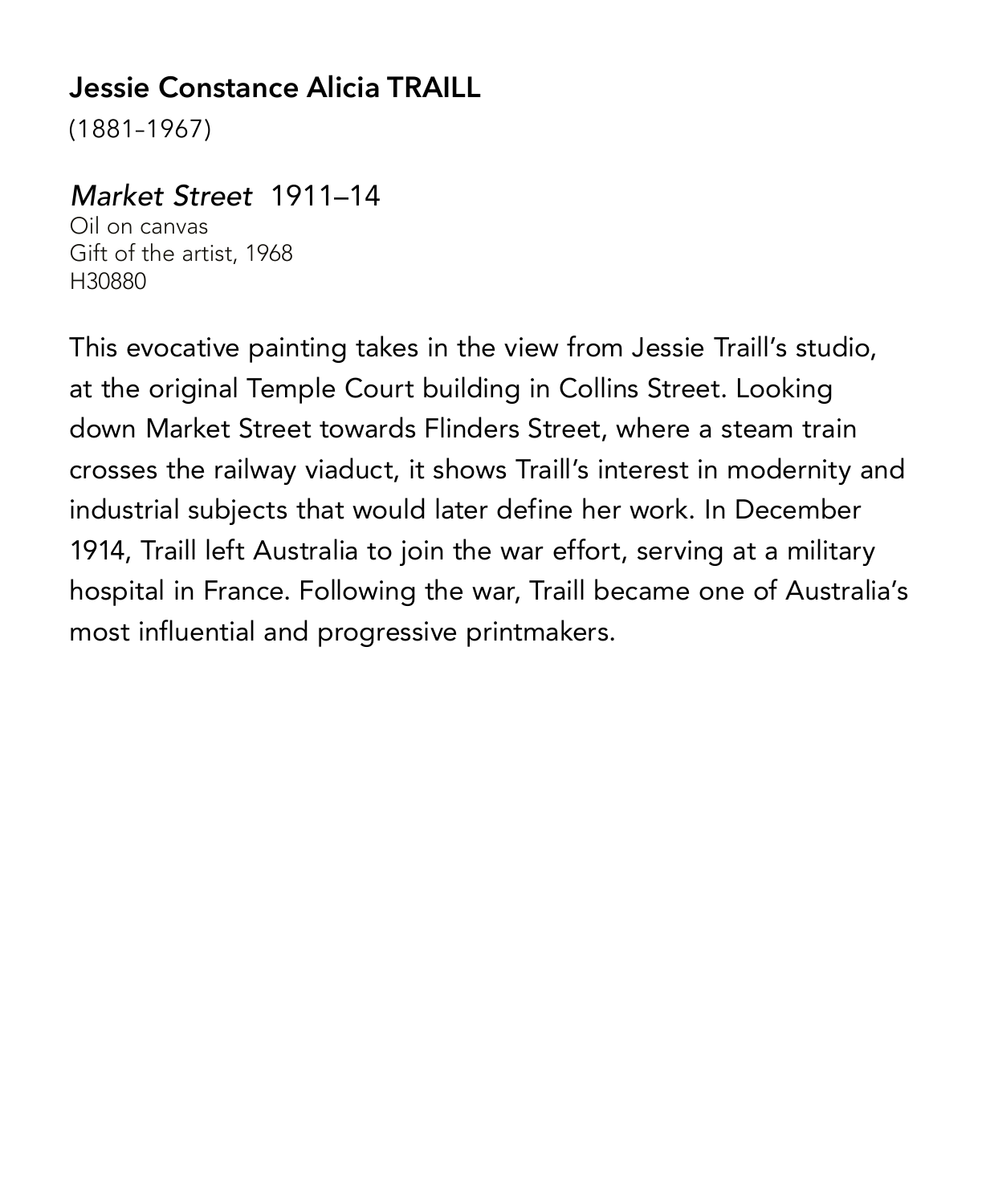### **Jessie Constance Alicia TRAILL**

(1881–1967)

#### *Market Street* 1911–14

Oil on canvas Gift of the artist, 1968 H30880

This evocative painting takes in the view from Jessie Traill's studio, at the original Temple Court building in Collins Street. Looking down Market Street towards Flinders Street, where a steam train crosses the railway viaduct, it shows Traill's interest in modernity and industrial subjects that would later define her work. In December 1914, Traill left Australia to join the war effort, serving at a military hospital in France. Following the war, Traill became one of Australia's most influential and progressive printmakers.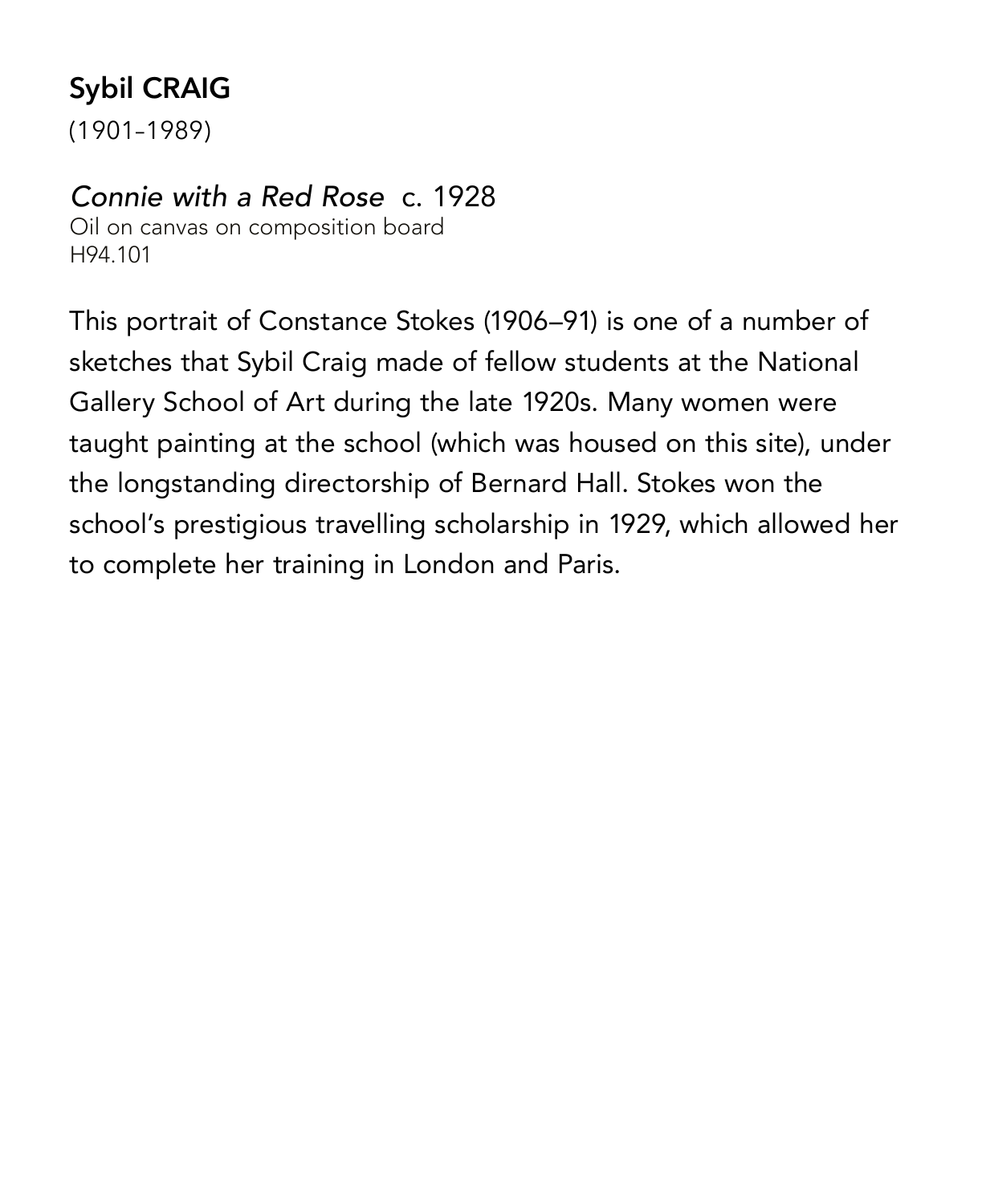# **Sybil CRAIG**

(1901–1989)

#### *Connie with a Red Rose* c. 1928

Oil on canvas on composition board H94.101

This portrait of Constance Stokes (1906–91) is one of a number of sketches that Sybil Craig made of fellow students at the National Gallery School of Art during the late 1920s. Many women were taught painting at the school (which was housed on this site), under the longstanding directorship of Bernard Hall. Stokes won the school's prestigious travelling scholarship in 1929, which allowed her to complete her training in London and Paris.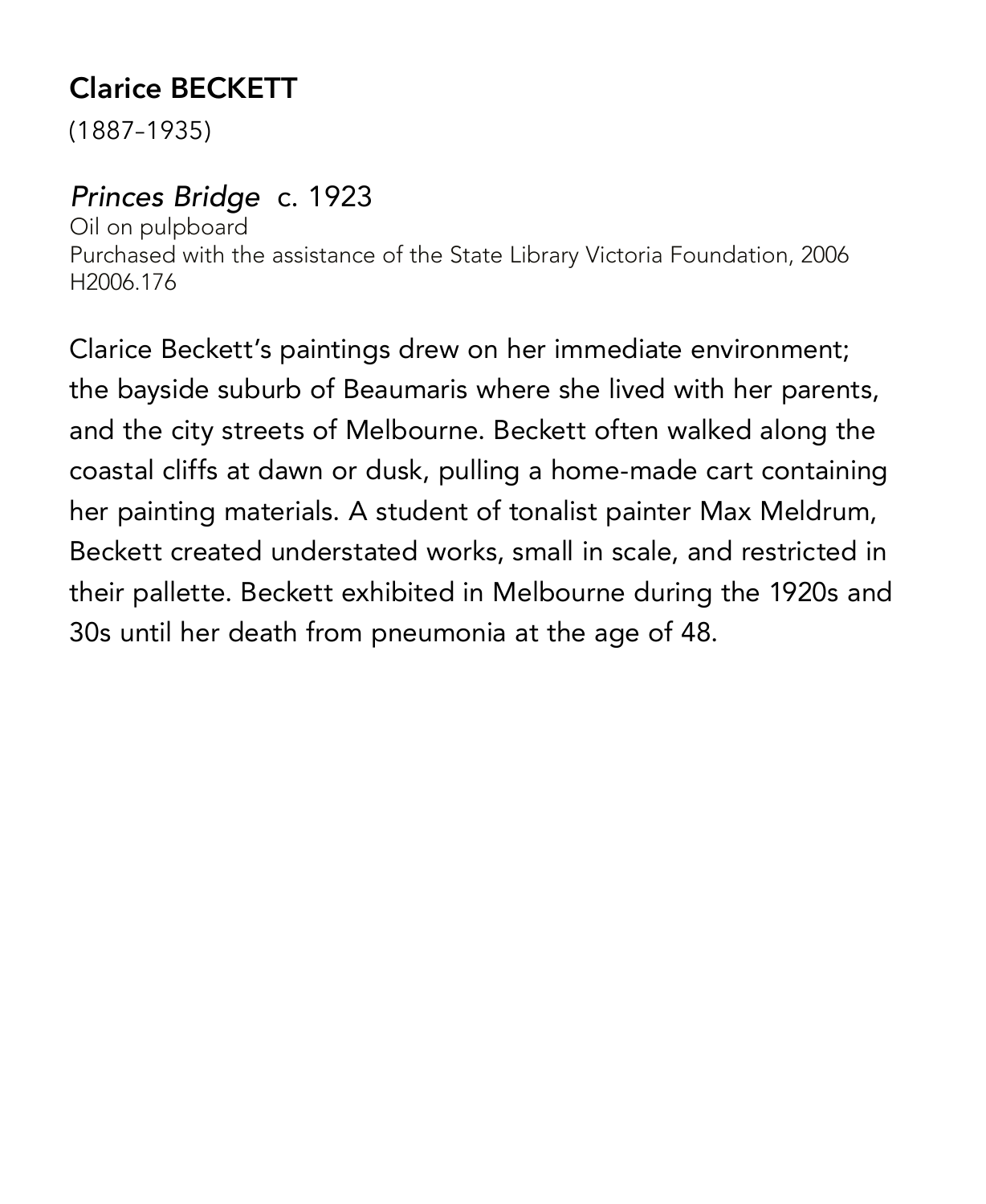# **Clarice BECKETT**

(1887–1935)

#### *Princes Bridge* c. 1923

Oil on pulpboard Purchased with the assistance of the State Library Victoria Foundation, 2006 H2006.176

Clarice Beckett's paintings drew on her immediate environment; the bayside suburb of Beaumaris where she lived with her parents, and the city streets of Melbourne. Beckett often walked along the coastal cliffs at dawn or dusk, pulling a home-made cart containing her painting materials. A student of tonalist painter Max Meldrum, Beckett created understated works, small in scale, and restricted in their pallette. Beckett exhibited in Melbourne during the 1920s and 30s until her death from pneumonia at the age of 48.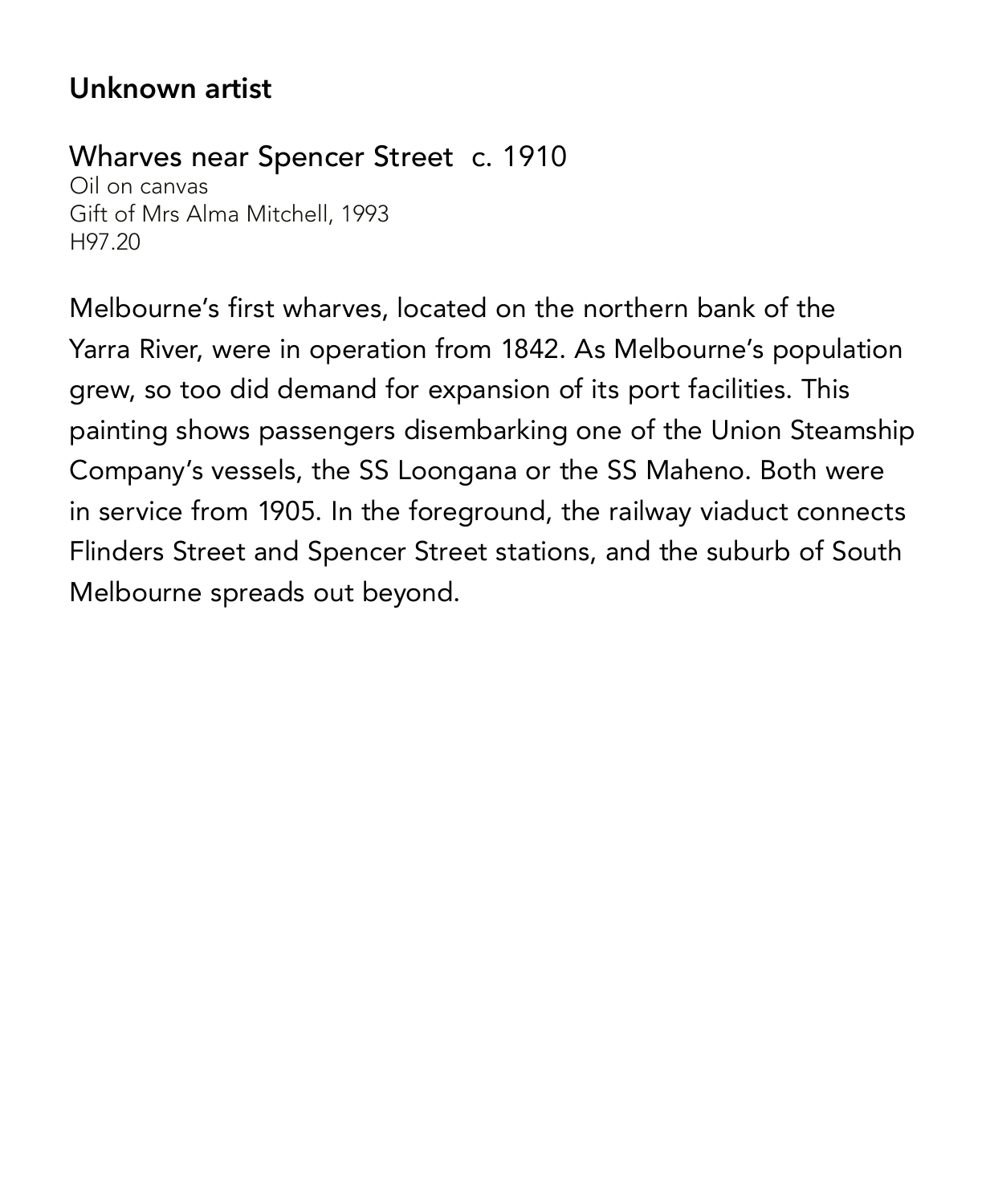#### **Unknown artist**

#### Wharves near Spencer Street c. 1910

Oil on canvas Gift of Mrs Alma Mitchell, 1993 H97.20

Melbourne's first wharves, located on the northern bank of the Yarra River, were in operation from 1842. As Melbourne's population grew, so too did demand for expansion of its port facilities. This painting shows passengers disembarking one of the Union Steamship Company's vessels, the SS Loongana or the SS Maheno. Both were in service from 1905. In the foreground, the railway viaduct connects Flinders Street and Spencer Street stations, and the suburb of South Melbourne spreads out beyond.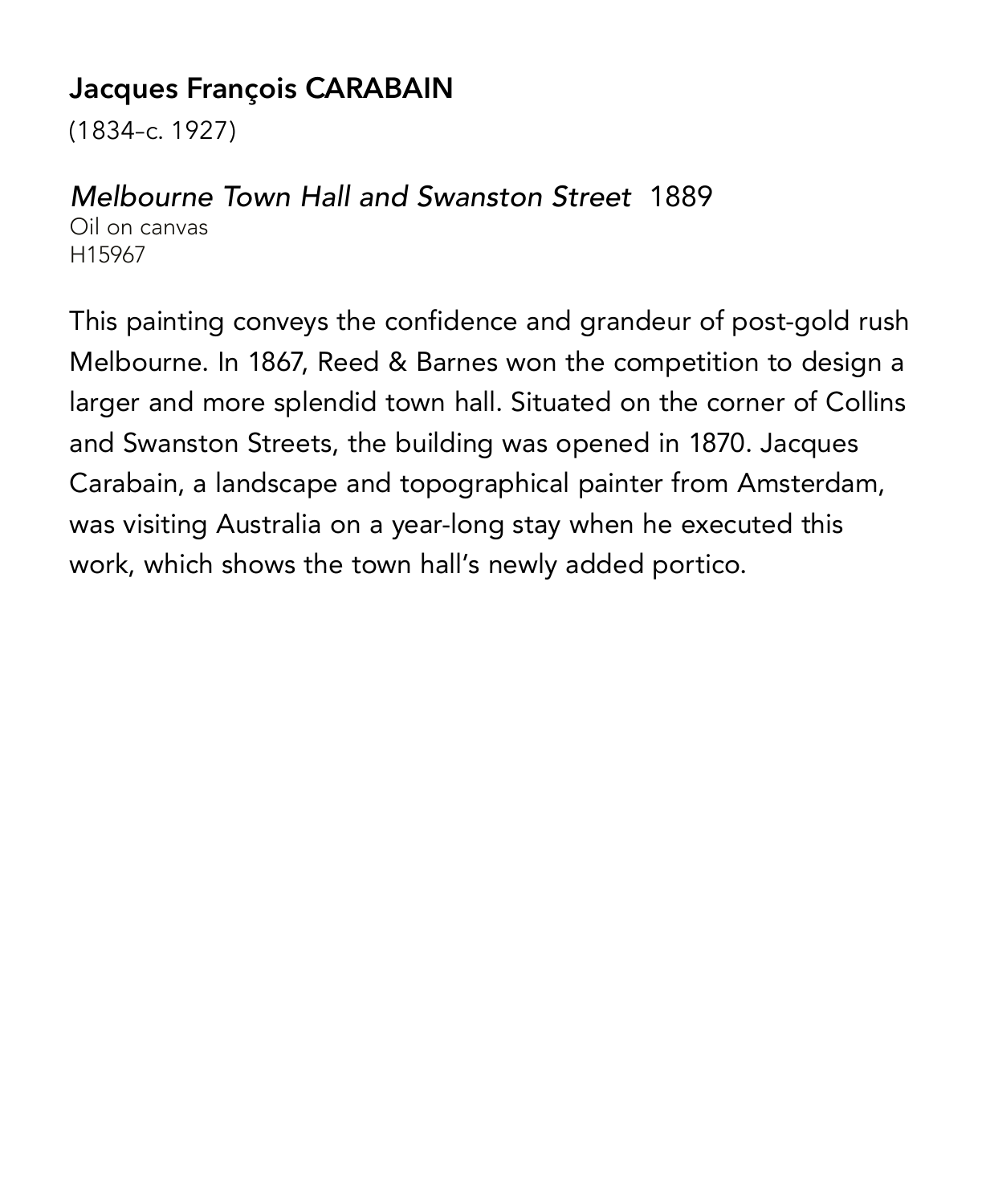### **Jacques François CARABAIN**

(1834–c. 1927)

#### *Melbourne Town Hall and Swanston Street* 1889

Oil on canvas H15967

This painting conveys the confidence and grandeur of post-gold rush Melbourne. In 1867, Reed & Barnes won the competition to design a larger and more splendid town hall. Situated on the corner of Collins and Swanston Streets, the building was opened in 1870. Jacques Carabain, a landscape and topographical painter from Amsterdam, was visiting Australia on a year-long stay when he executed this work, which shows the town hall's newly added portico.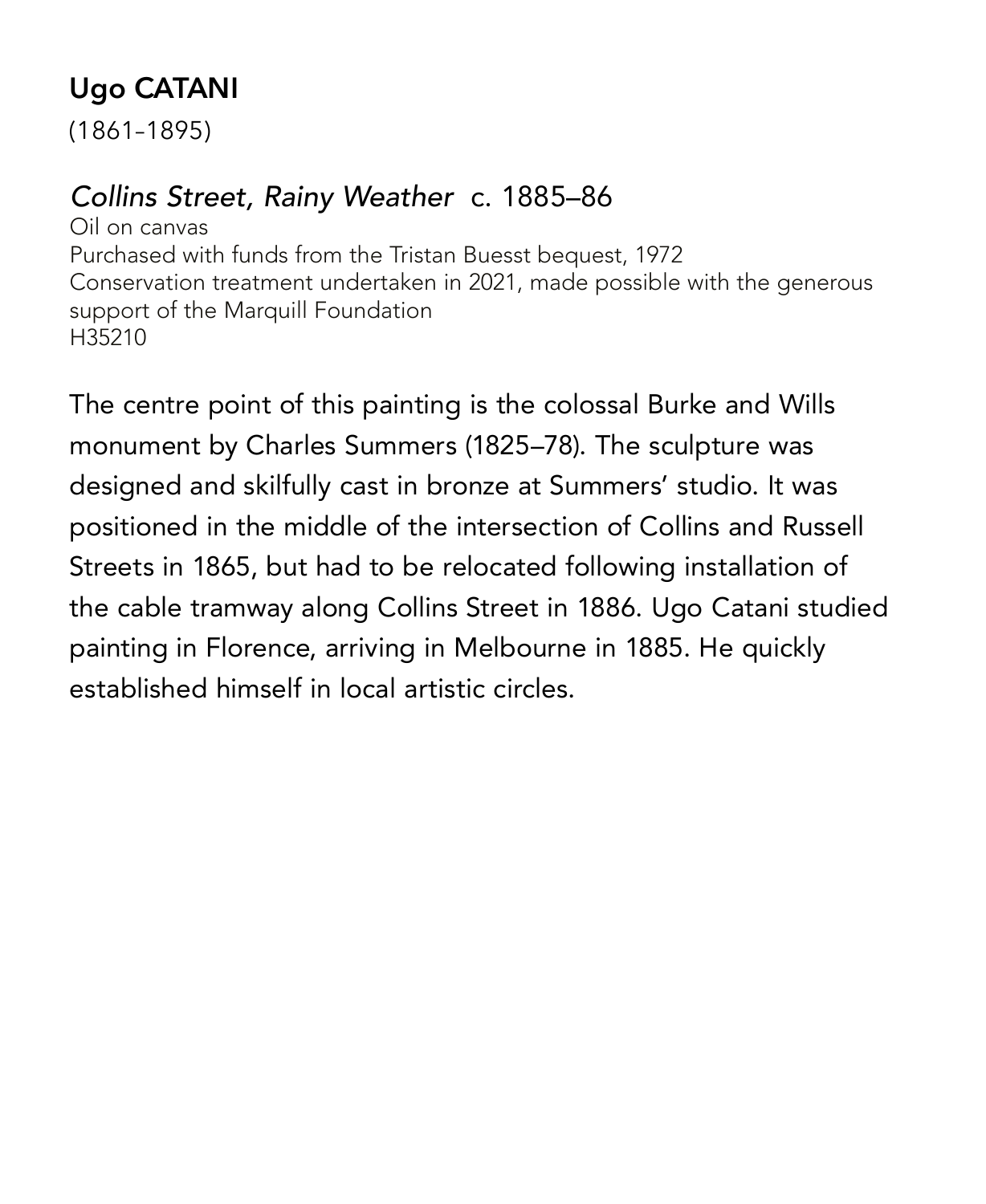# **Ugo CATANI**

(1861–1895)

#### *Collins Street, Rainy Weather* c. 1885–86

Oil on canvas Purchased with funds from the Tristan Buesst bequest, 1972 Conservation treatment undertaken in 2021, made possible with the generous support of the Marquill Foundation H35210

The centre point of this painting is the colossal Burke and Wills monument by Charles Summers (1825–78). The sculpture was designed and skilfully cast in bronze at Summers' studio. It was positioned in the middle of the intersection of Collins and Russell Streets in 1865, but had to be relocated following installation of the cable tramway along Collins Street in 1886. Ugo Catani studied painting in Florence, arriving in Melbourne in 1885. He quickly established himself in local artistic circles.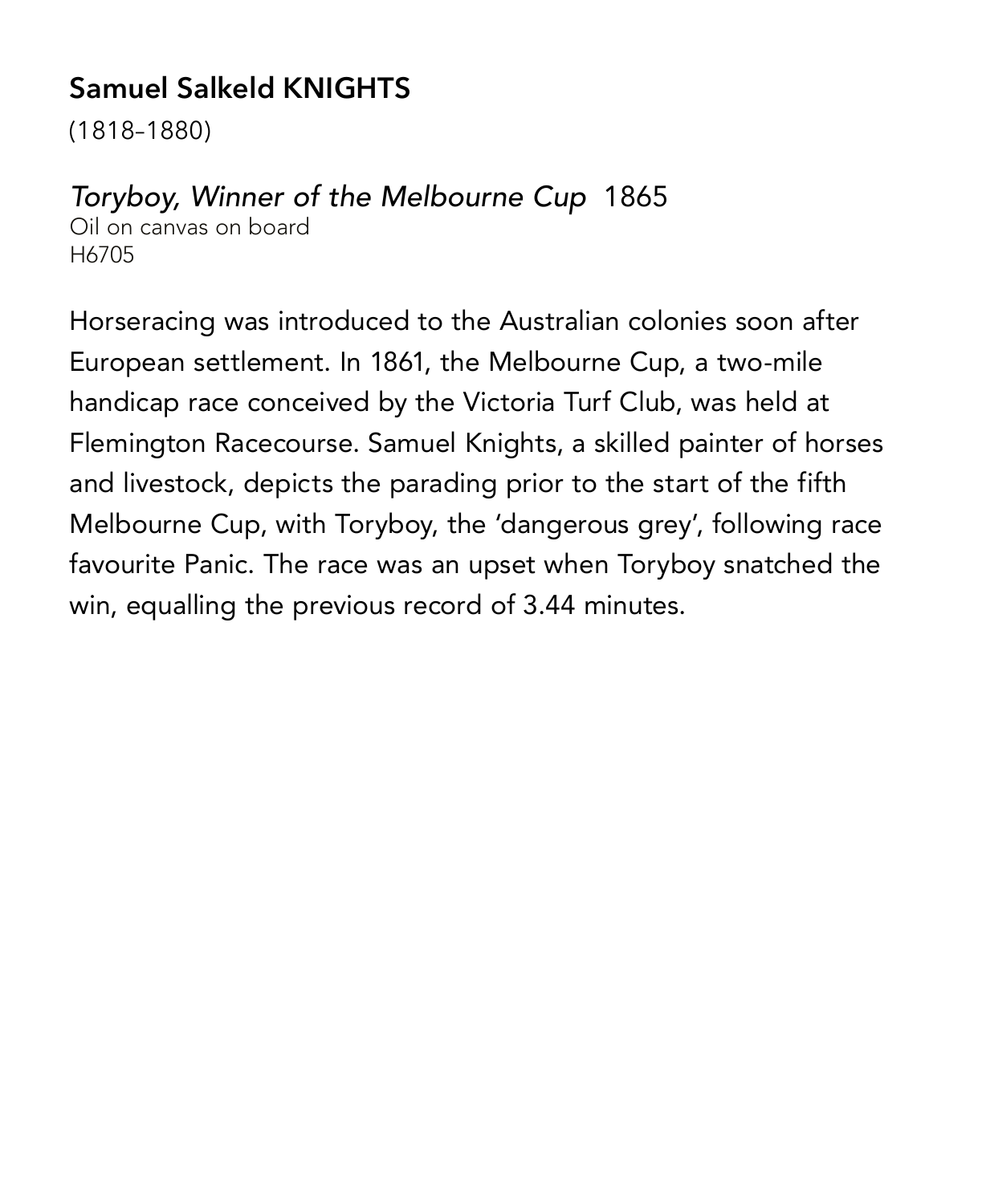# **Samuel Salkeld KNIGHTS**

(1818–1880)

#### *Toryboy, Winner of the Melbourne Cup* 1865

Oil on canvas on board H6705

Horseracing was introduced to the Australian colonies soon after European settlement. In 1861, the Melbourne Cup, a two-mile handicap race conceived by the Victoria Turf Club, was held at Flemington Racecourse. Samuel Knights, a skilled painter of horses and livestock, depicts the parading prior to the start of the fifth Melbourne Cup, with Toryboy, the 'dangerous grey', following race favourite Panic. The race was an upset when Toryboy snatched the win, equalling the previous record of 3.44 minutes.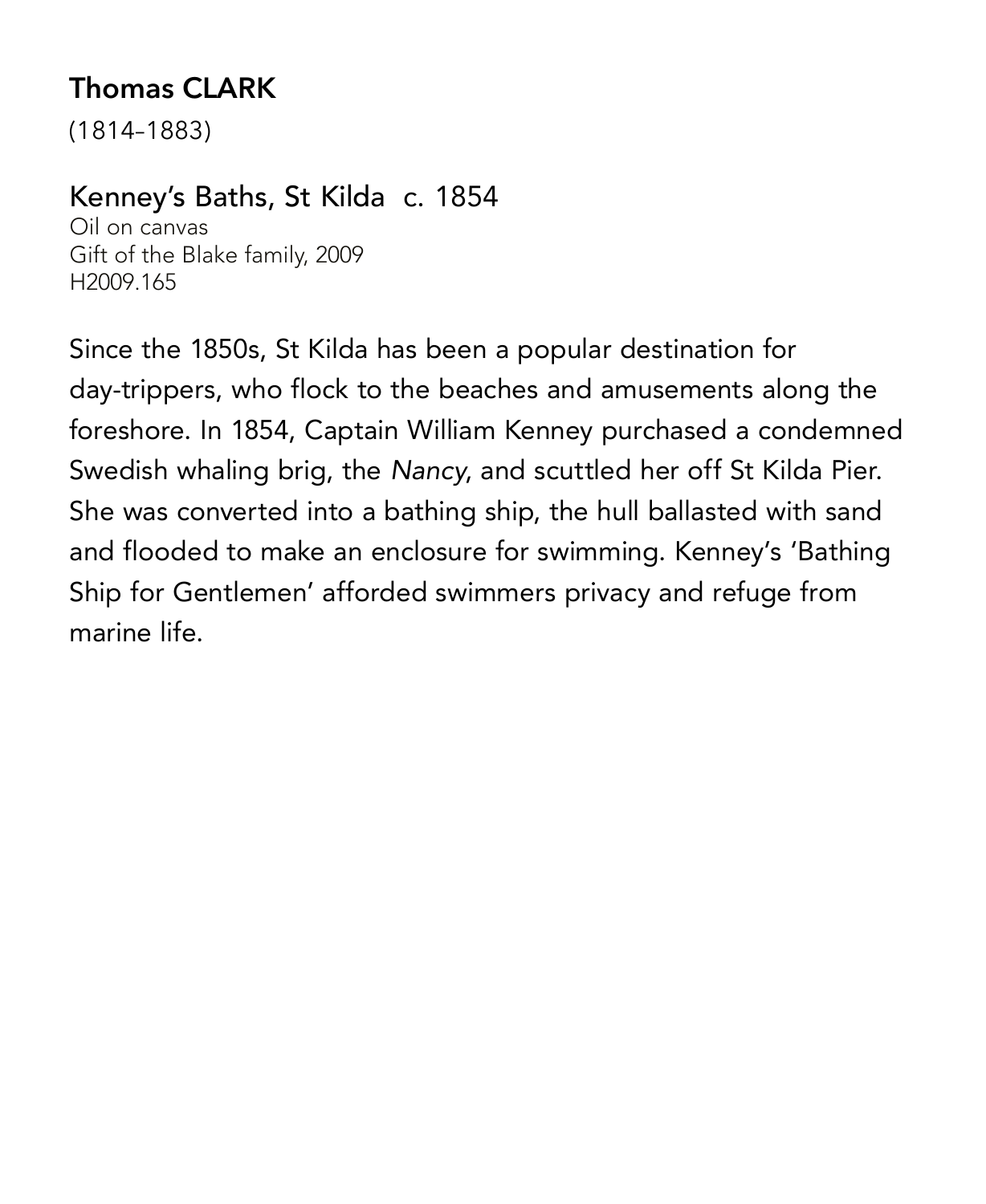# **Thomas CLARK**

(1814–1883)

#### Kenney's Baths, St Kilda c. 1854

Oil on canvas Gift of the Blake family, 2009 H2009.165

Since the 1850s, St Kilda has been a popular destination for day-trippers, who flock to the beaches and amusements along the foreshore. In 1854, Captain William Kenney purchased a condemned Swedish whaling brig, the *Nancy*, and scuttled her off St Kilda Pier. She was converted into a bathing ship, the hull ballasted with sand and flooded to make an enclosure for swimming. Kenney's 'Bathing Ship for Gentlemen' afforded swimmers privacy and refuge from marine life.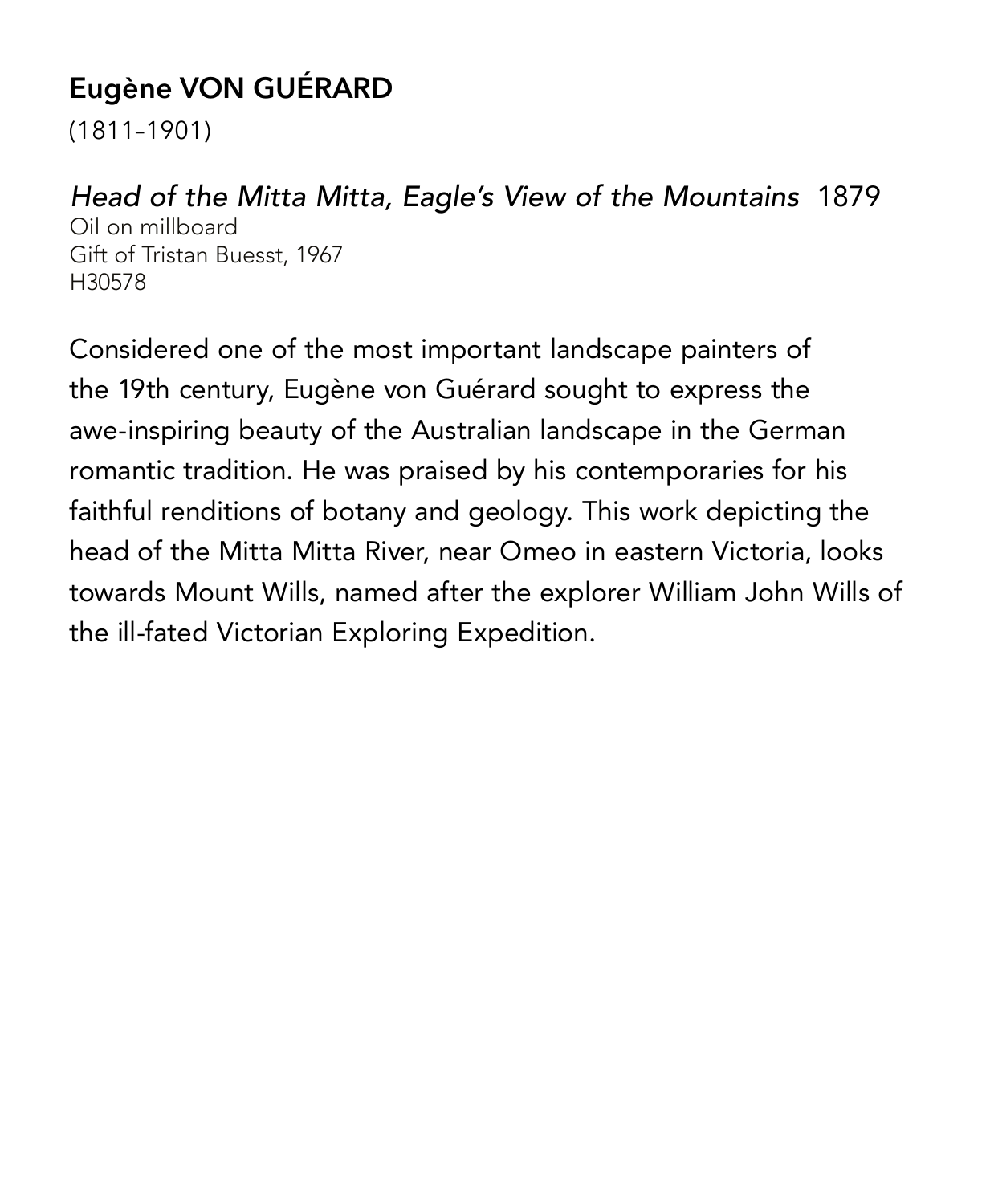# **Eugène VON GUÉRARD**

(1811–1901)

#### *Head of the Mitta Mitta, Eagle's View of the Mountains* 1879

Oil on millboard Gift of Tristan Buesst, 1967 H30578

Considered one of the most important landscape painters of the 19th century, Eugène von Guérard sought to express the awe-inspiring beauty of the Australian landscape in the German romantic tradition. He was praised by his contemporaries for his faithful renditions of botany and geology. This work depicting the head of the Mitta Mitta River, near Omeo in eastern Victoria, looks towards Mount Wills, named after the explorer William John Wills of the ill-fated Victorian Exploring Expedition.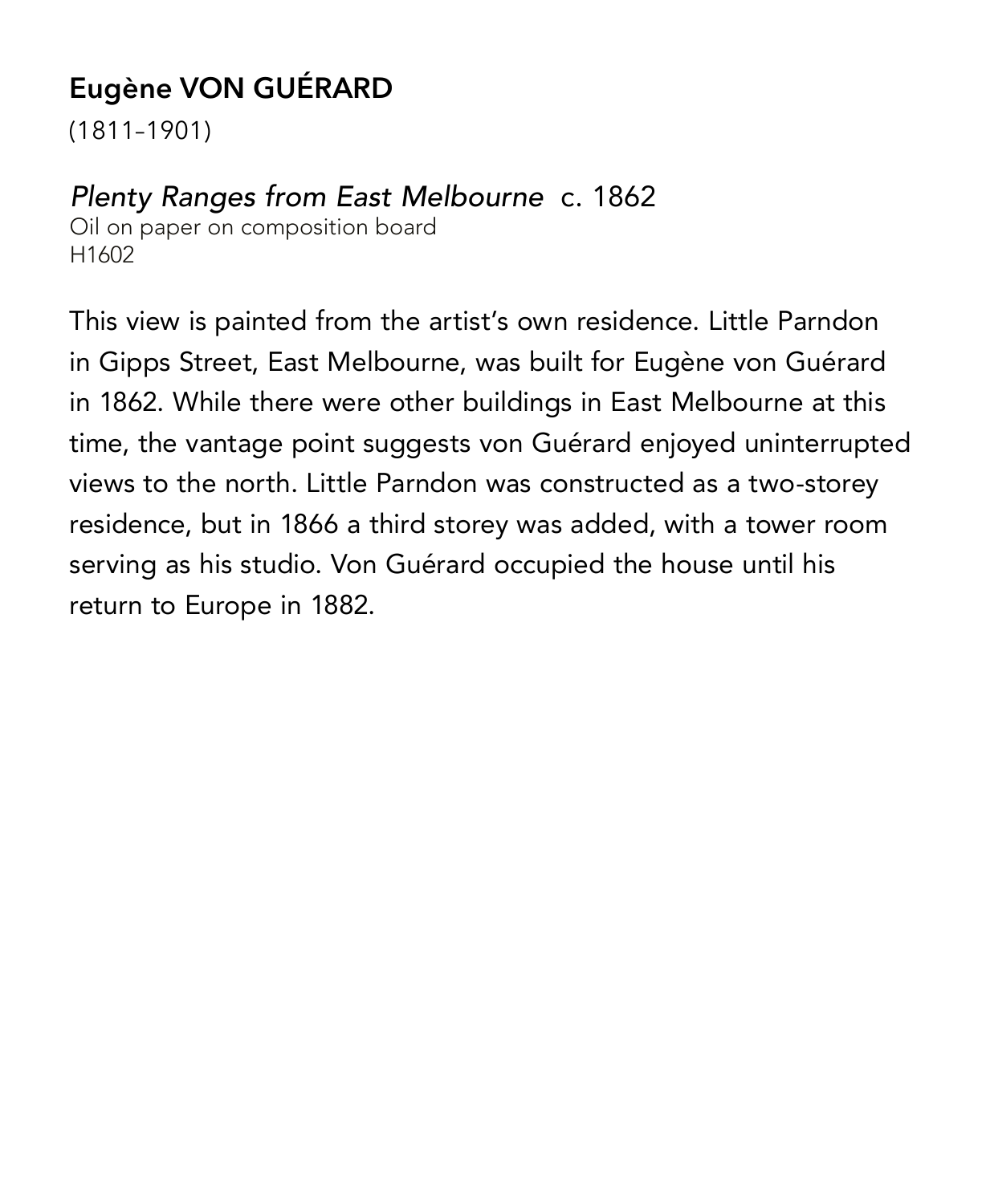# **Eugène VON GUÉRARD**

(1811–1901)

#### *Plenty Ranges from East Melbourne* c. 1862

Oil on paper on composition board H1602

This view is painted from the artist's own residence. Little Parndon in Gipps Street, East Melbourne, was built for Eugène von Guérard in 1862. While there were other buildings in East Melbourne at this time, the vantage point suggests von Guérard enjoyed uninterrupted views to the north. Little Parndon was constructed as a two-storey residence, but in 1866 a third storey was added, with a tower room serving as his studio. Von Guérard occupied the house until his return to Europe in 1882.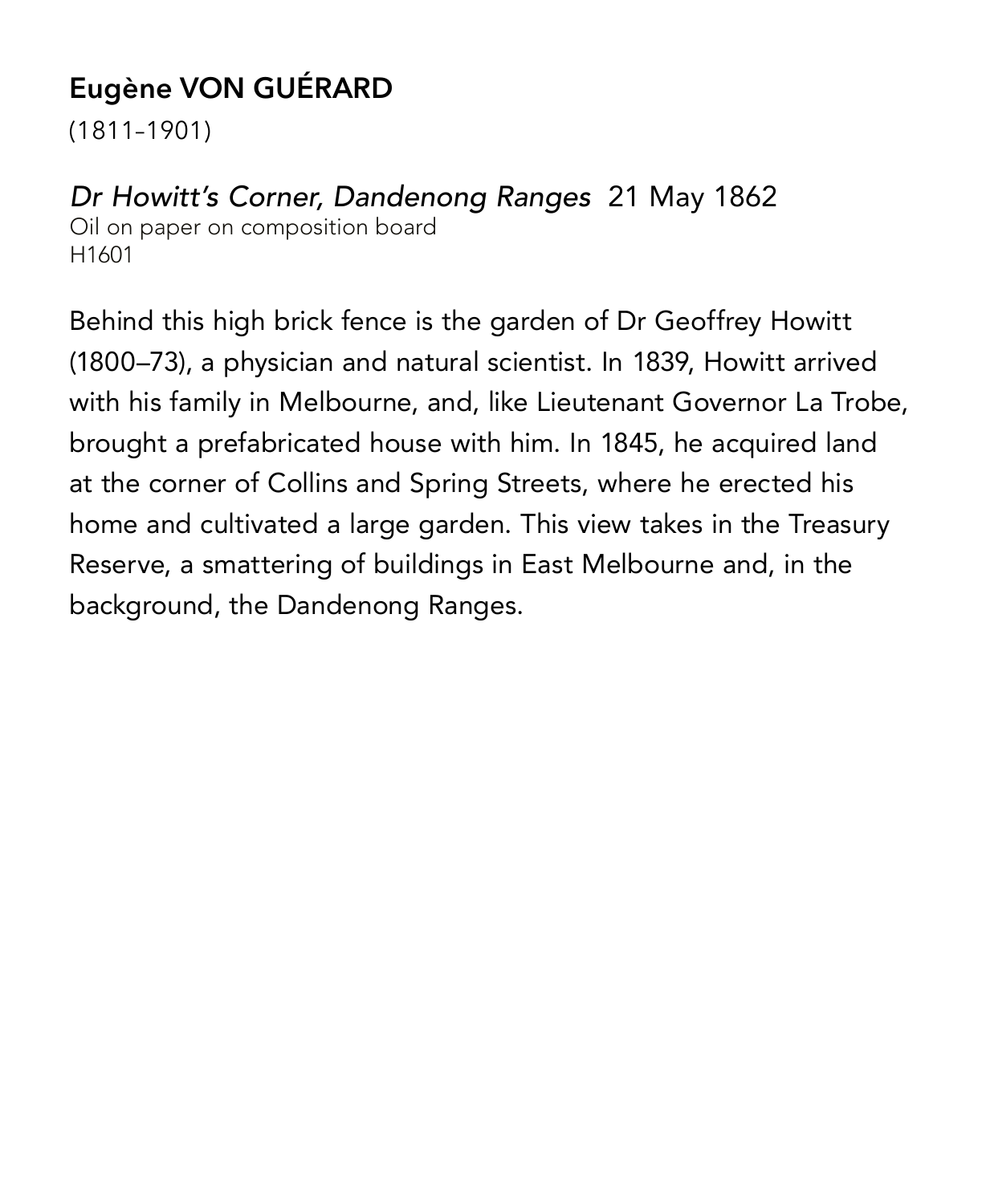# **Eugène VON GUÉRARD**

(1811–1901)

#### *Dr Howitt's Corner, Dandenong Ranges* 21 May 1862 Oil on paper on composition board H1601

Behind this high brick fence is the garden of Dr Geoffrey Howitt (1800–73), a physician and natural scientist. In 1839, Howitt arrived with his family in Melbourne, and, like Lieutenant Governor La Trobe, brought a prefabricated house with him. In 1845, he acquired land at the corner of Collins and Spring Streets, where he erected his home and cultivated a large garden. This view takes in the Treasury Reserve, a smattering of buildings in East Melbourne and, in the background, the Dandenong Ranges.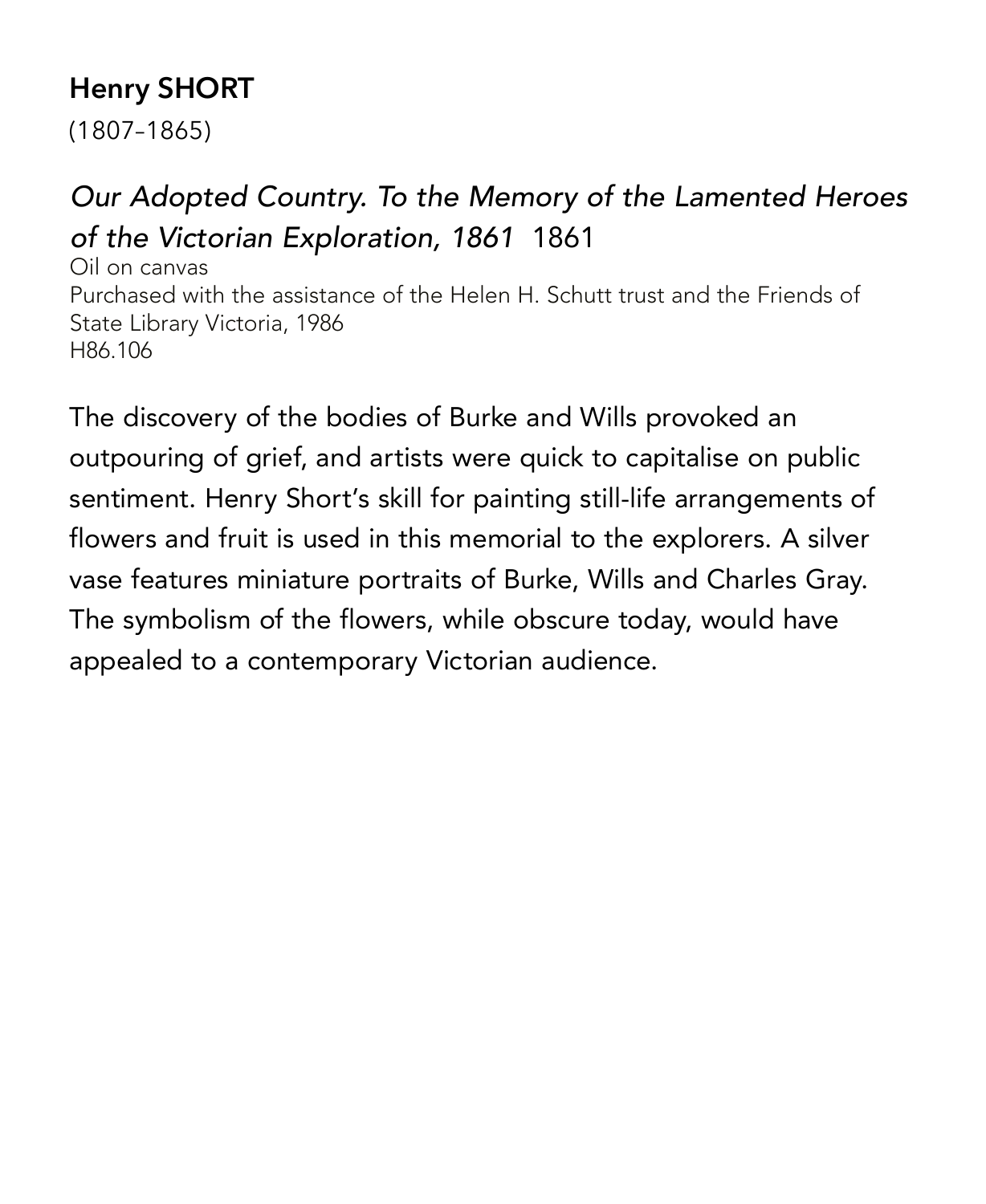# **Henry SHORT**

(1807–1865)

# *Our Adopted Country. To the Memory of the Lamented Heroes of the Victorian Exploration, 1861* 1861

Oil on canvas Purchased with the assistance of the Helen H. Schutt trust and the Friends of State Library Victoria, 1986 H86.106

The discovery of the bodies of Burke and Wills provoked an outpouring of grief, and artists were quick to capitalise on public sentiment. Henry Short's skill for painting still-life arrangements of flowers and fruit is used in this memorial to the explorers. A silver vase features miniature portraits of Burke, Wills and Charles Gray. The symbolism of the flowers, while obscure today, would have appealed to a contemporary Victorian audience.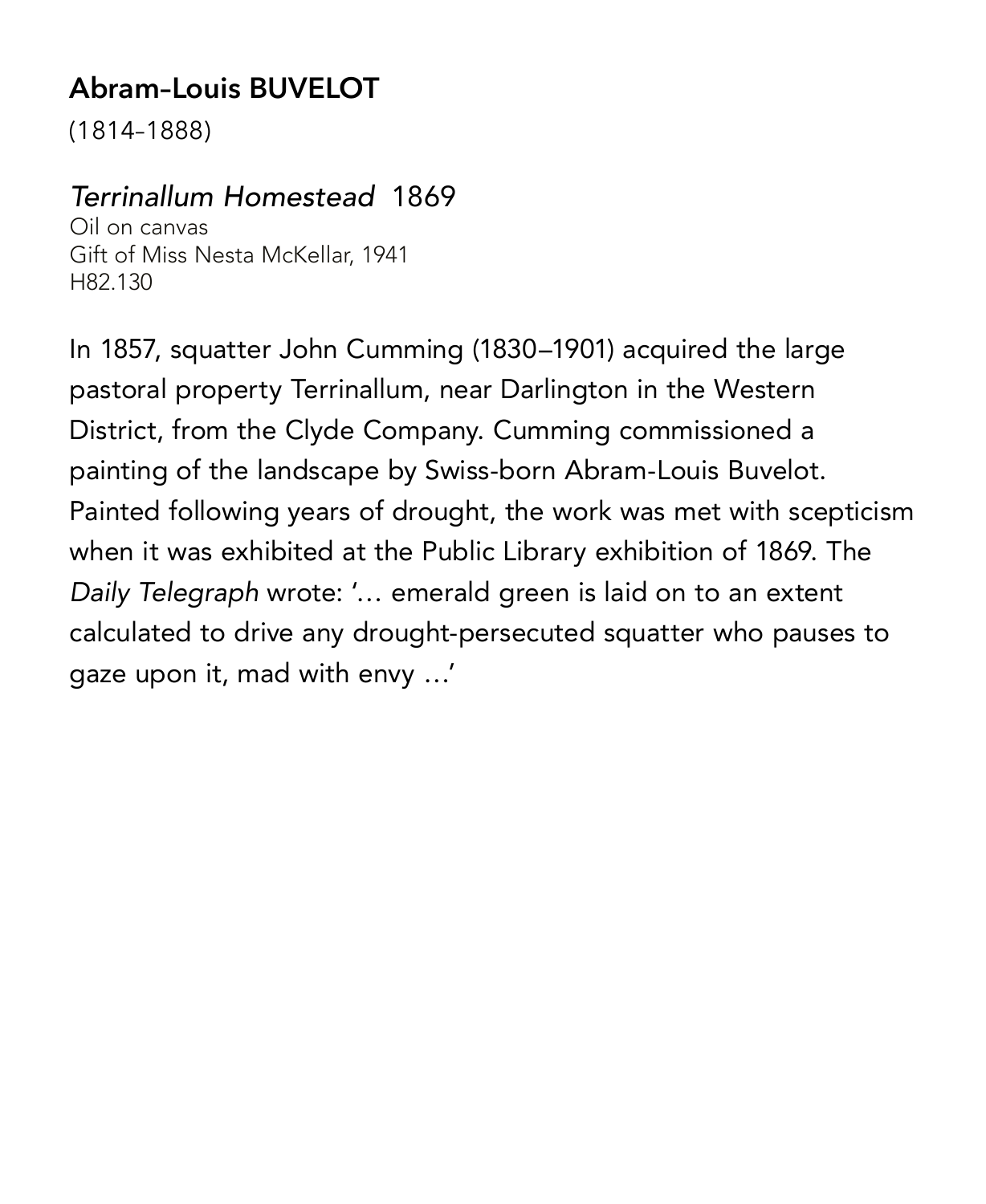# **Abram–Louis BUVELOT**

(1814–1888)

#### *Terrinallum Homestead* 1869

Oil on canvas Gift of Miss Nesta McKellar, 1941 H82.130

In 1857, squatter John Cumming (1830–1901) acquired the large pastoral property Terrinallum, near Darlington in the Western District, from the Clyde Company. Cumming commissioned a painting of the landscape by Swiss-born Abram-Louis Buvelot. Painted following years of drought, the work was met with scepticism when it was exhibited at the Public Library exhibition of 1869. The *Daily Telegraph* wrote: '… emerald green is laid on to an extent calculated to drive any drought-persecuted squatter who pauses to gaze upon it, mad with envy …'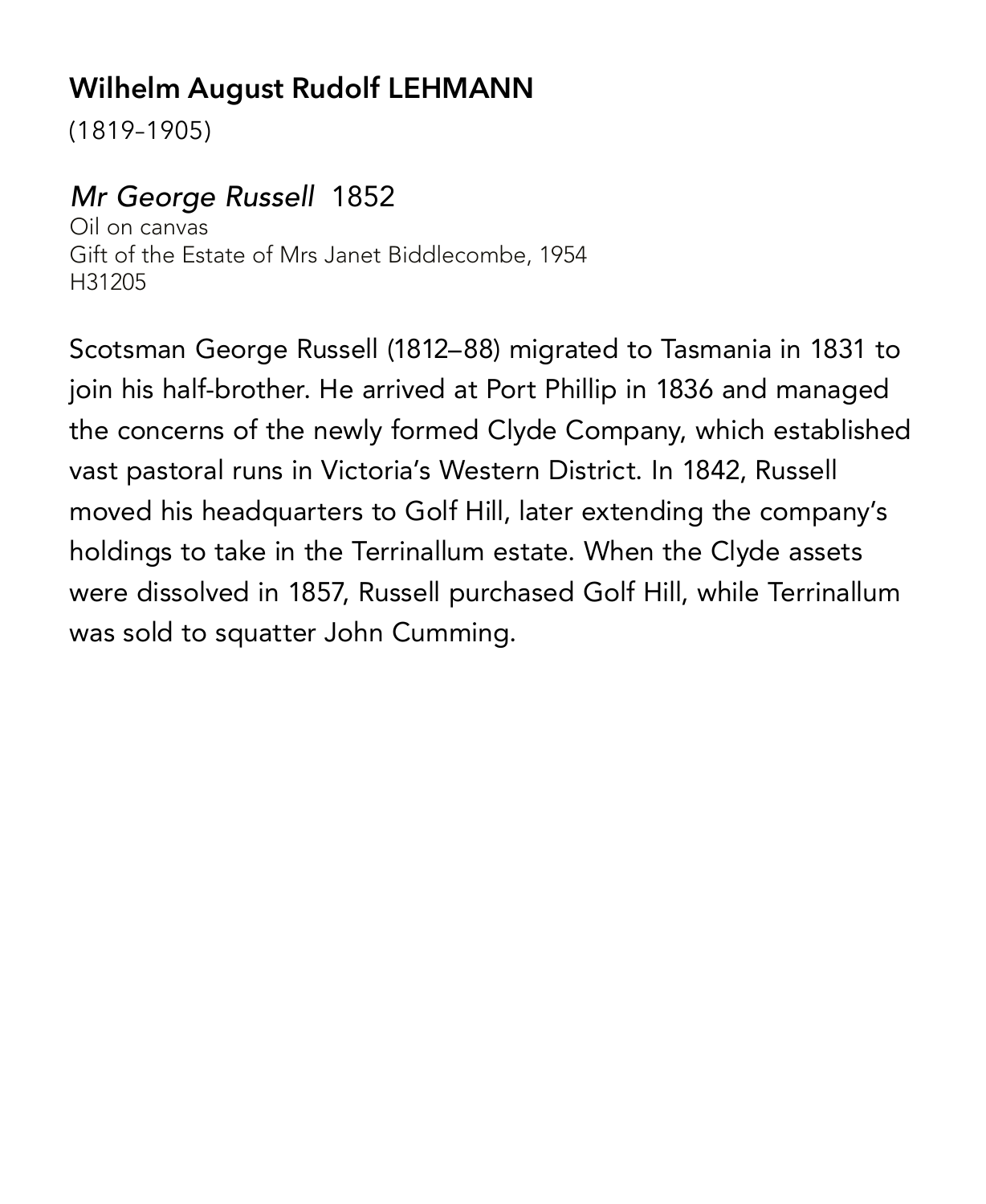# **Wilhelm August Rudolf LEHMANN**

(1819–1905)

#### *Mr George Russell* 1852

Oil on canvas Gift of the Estate of Mrs Janet Biddlecombe, 1954 H31205

Scotsman George Russell (1812–88) migrated to Tasmania in 1831 to join his half-brother. He arrived at Port Phillip in 1836 and managed the concerns of the newly formed Clyde Company, which established vast pastoral runs in Victoria's Western District. In 1842, Russell moved his headquarters to Golf Hill, later extending the company's holdings to take in the Terrinallum estate. When the Clyde assets were dissolved in 1857, Russell purchased Golf Hill, while Terrinallum was sold to squatter John Cumming.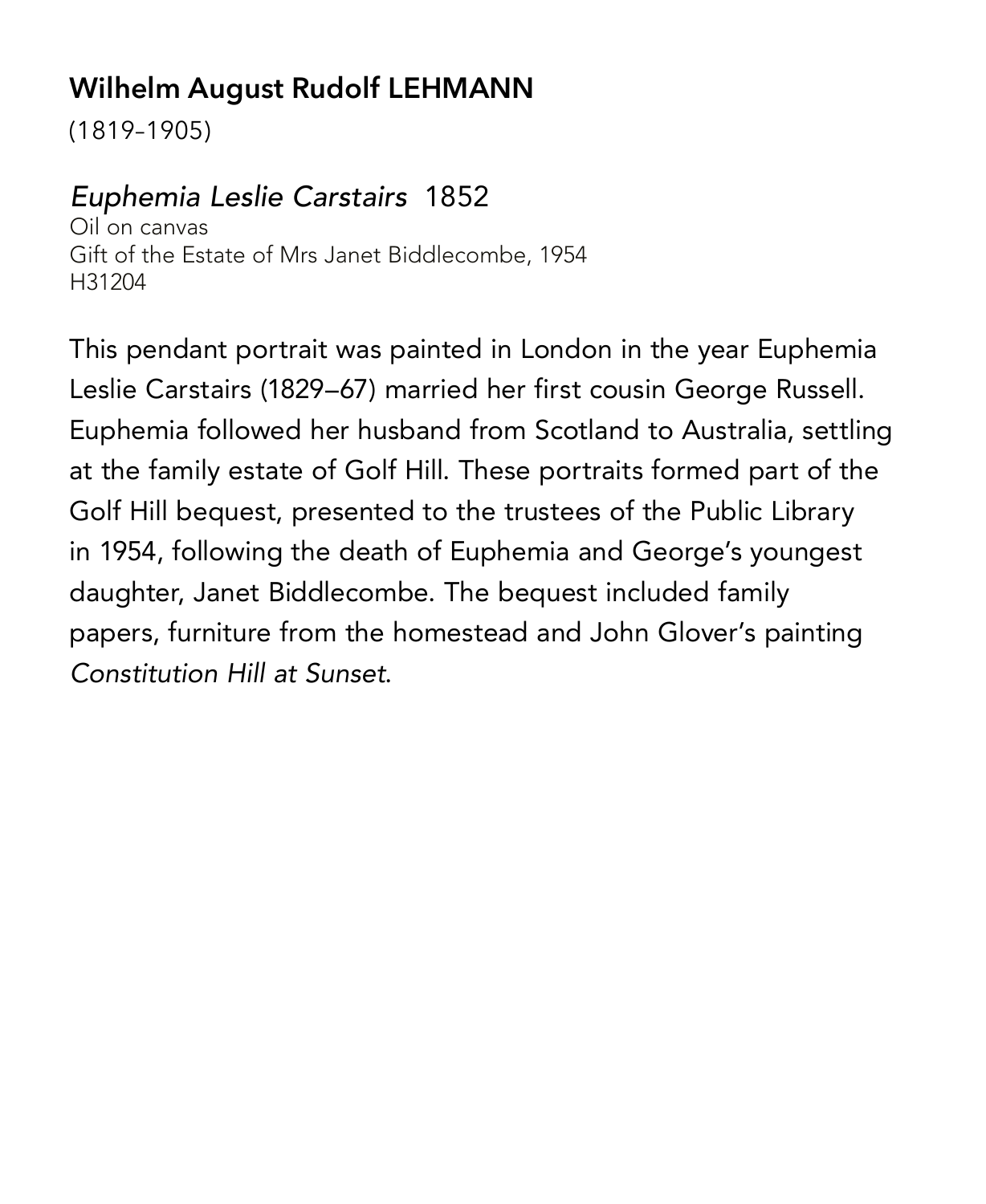# **Wilhelm August Rudolf LEHMANN**

(1819–1905)

#### *Euphemia Leslie Carstairs* 1852

Oil on canvas Gift of the Estate of Mrs Janet Biddlecombe, 1954 H31204

This pendant portrait was painted in London in the year Euphemia Leslie Carstairs (1829–67) married her first cousin George Russell. Euphemia followed her husband from Scotland to Australia, settling at the family estate of Golf Hill. These portraits formed part of the Golf Hill bequest, presented to the trustees of the Public Library in 1954, following the death of Euphemia and George's youngest daughter, Janet Biddlecombe. The bequest included family papers, furniture from the homestead and John Glover's painting *Constitution Hill at Sunset*.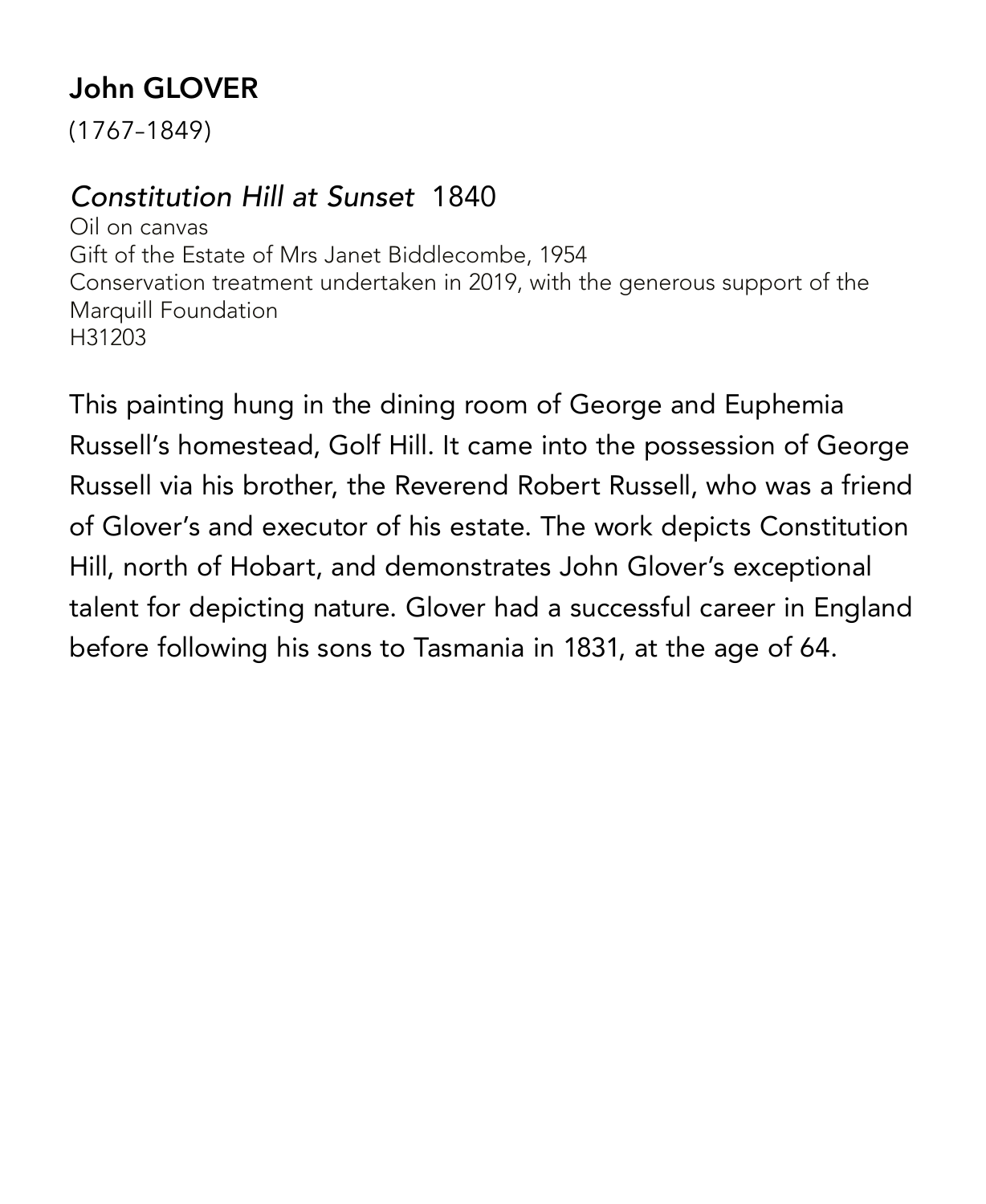# **John GLOVER**

(1767–1849)

#### *Constitution Hill at Sunset* 1840

Oil on canvas Gift of the Estate of Mrs Janet Biddlecombe, 1954 Conservation treatment undertaken in 2019, with the generous support of the Marquill Foundation H31203

This painting hung in the dining room of George and Euphemia Russell's homestead, Golf Hill. It came into the possession of George Russell via his brother, the Reverend Robert Russell, who was a friend of Glover's and executor of his estate. The work depicts Constitution Hill, north of Hobart, and demonstrates John Glover's exceptional talent for depicting nature. Glover had a successful career in England before following his sons to Tasmania in 1831, at the age of 64.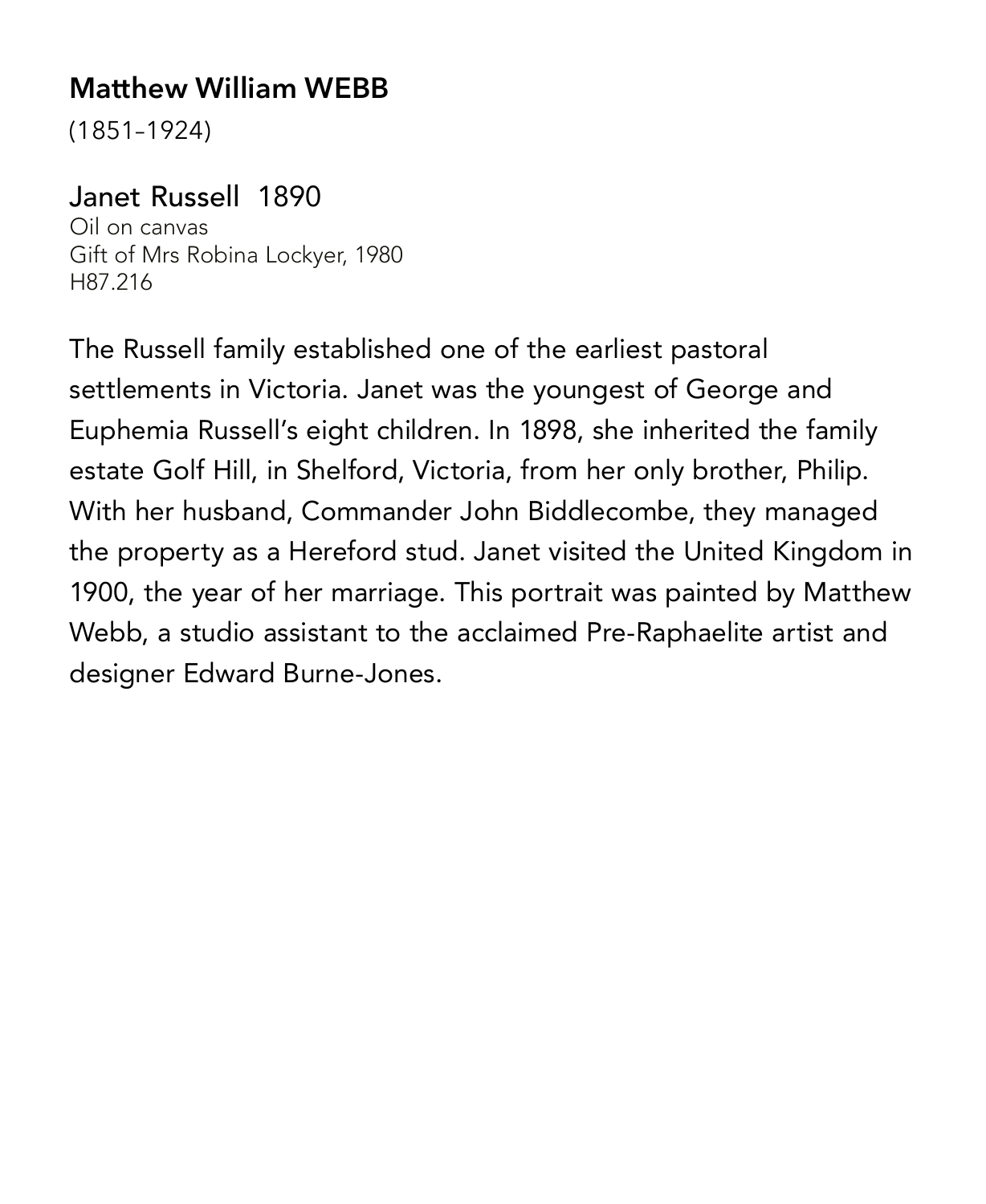#### **Matthew William WEBB**

(1851–1924)

#### Janet Russell 1890

Oil on canvas Gift of Mrs Robina Lockyer, 1980 H87.216

The Russell family established one of the earliest pastoral settlements in Victoria. Janet was the youngest of George and Euphemia Russell's eight children. In 1898, she inherited the family estate Golf Hill, in Shelford, Victoria, from her only brother, Philip. With her husband, Commander John Biddlecombe, they managed the property as a Hereford stud. Janet visited the United Kingdom in 1900, the year of her marriage. This portrait was painted by Matthew Webb, a studio assistant to the acclaimed Pre-Raphaelite artist and designer Edward Burne-Jones.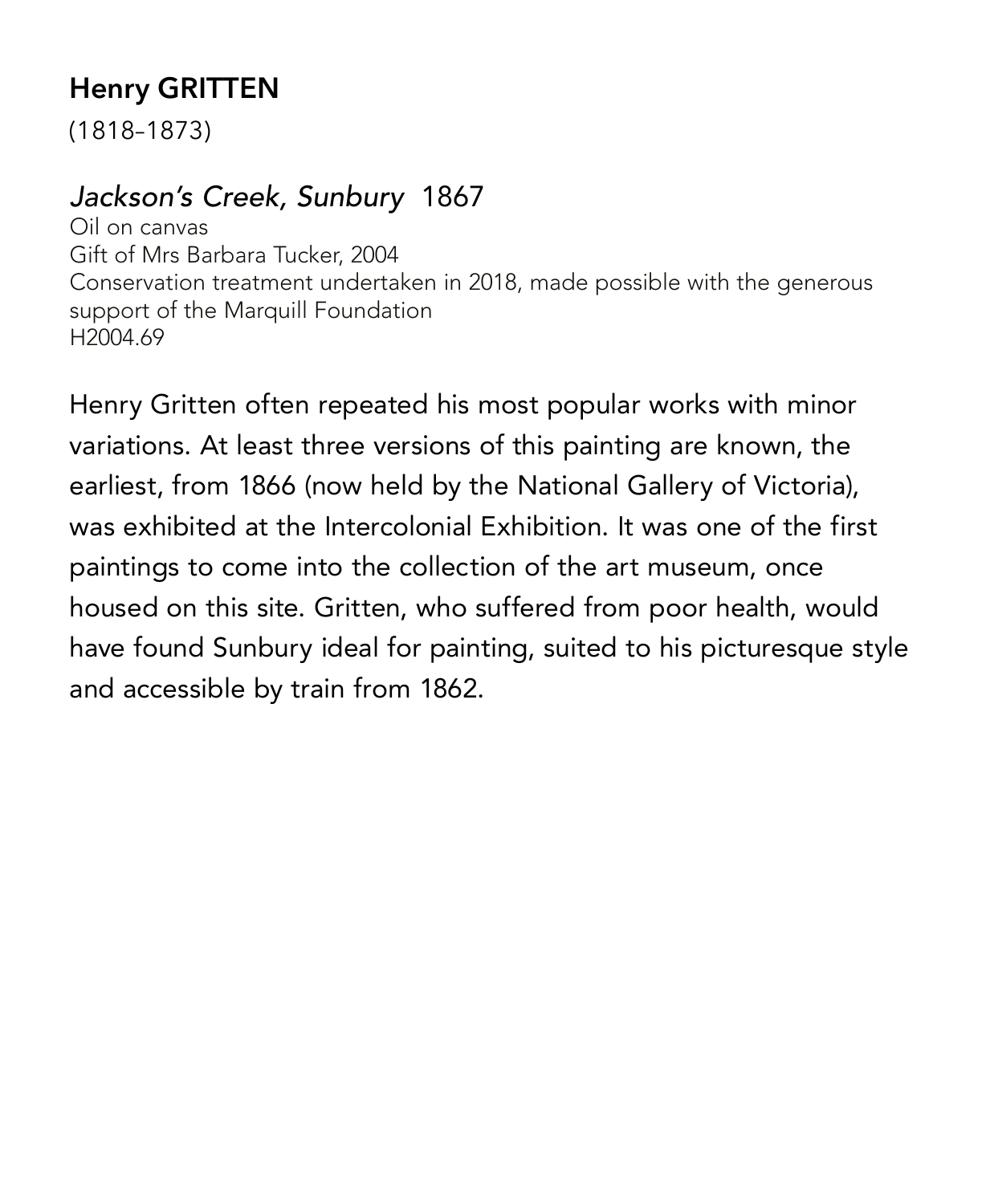# **Henry GRITTEN**

(1818–1873)

#### *Jackson's Creek, Sunbury* 1867

Oil on canvas Gift of Mrs Barbara Tucker, 2004 Conservation treatment undertaken in 2018, made possible with the generous support of the Marquill Foundation H2004.69

Henry Gritten often repeated his most popular works with minor variations. At least three versions of this painting are known, the earliest, from 1866 (now held by the National Gallery of Victoria), was exhibited at the Intercolonial Exhibition. It was one of the first paintings to come into the collection of the art museum, once housed on this site. Gritten, who suffered from poor health, would have found Sunbury ideal for painting, suited to his picturesque style and accessible by train from 1862.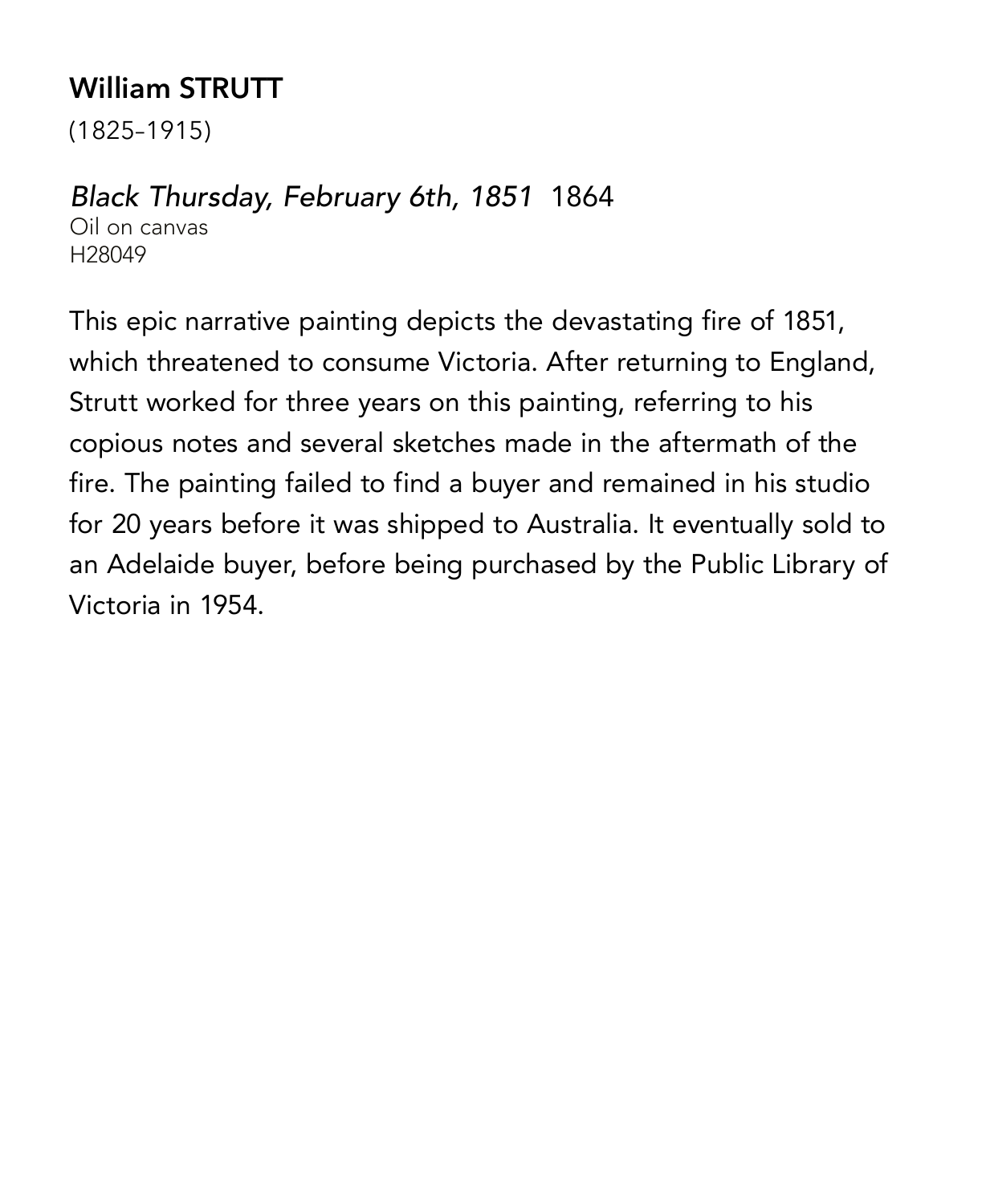# **William STRUTT**

(1825–1915)

#### *Black Thursday, February 6th, 1851* 1864

Oil on canvas H28049

This epic narrative painting depicts the devastating fire of 1851, which threatened to consume Victoria. After returning to England, Strutt worked for three years on this painting, referring to his copious notes and several sketches made in the aftermath of the fire. The painting failed to find a buyer and remained in his studio for 20 years before it was shipped to Australia. It eventually sold to an Adelaide buyer, before being purchased by the Public Library of Victoria in 1954.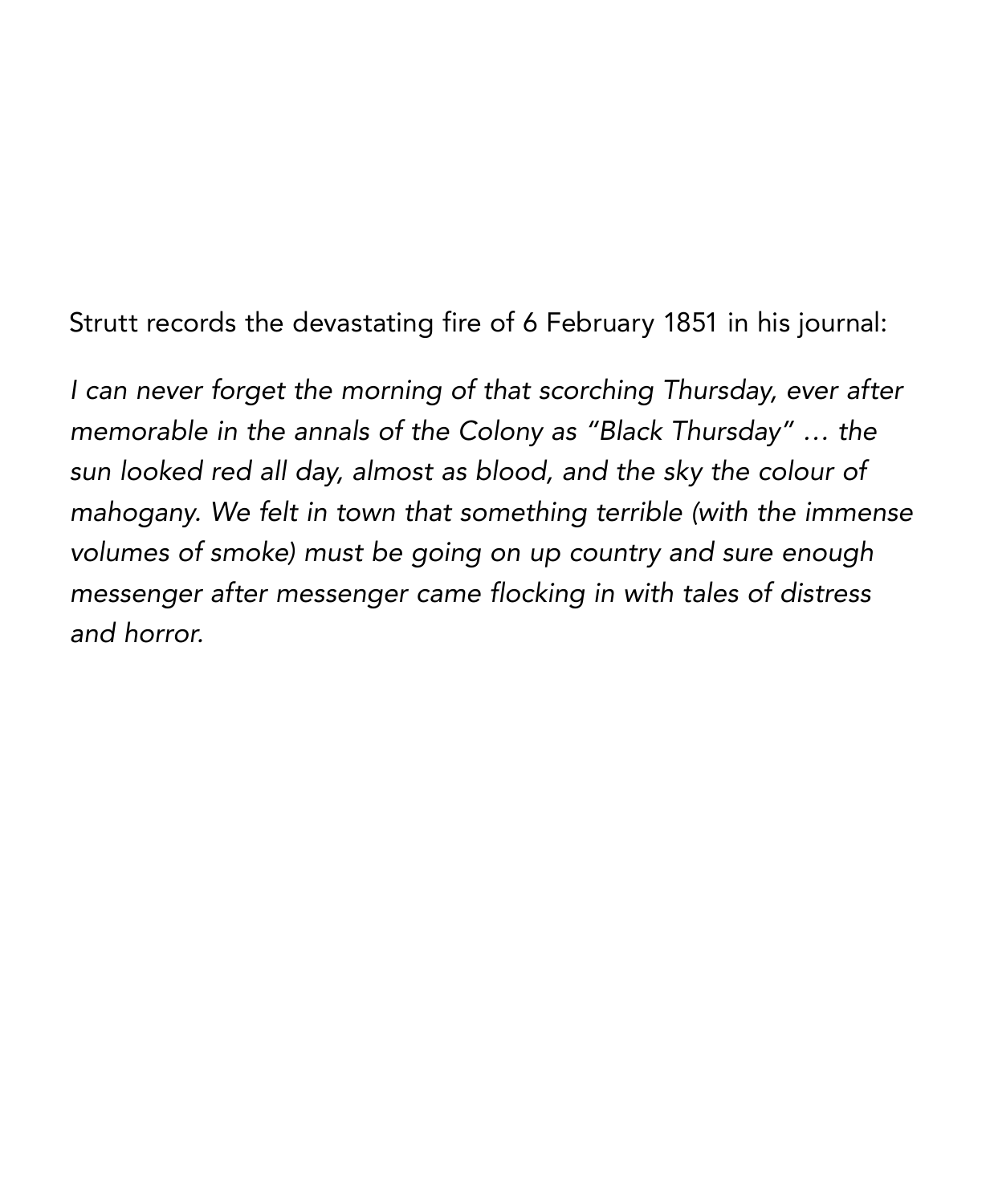Strutt records the devastating fire of 6 February 1851 in his journal:

*I can never forget the morning of that scorching Thursday, ever after memorable in the annals of the Colony as "Black Thursday" … the sun looked red all day, almost as blood, and the sky the colour of mahogany. We felt in town that something terrible (with the immense volumes of smoke) must be going on up country and sure enough messenger after messenger came flocking in with tales of distress and horror.*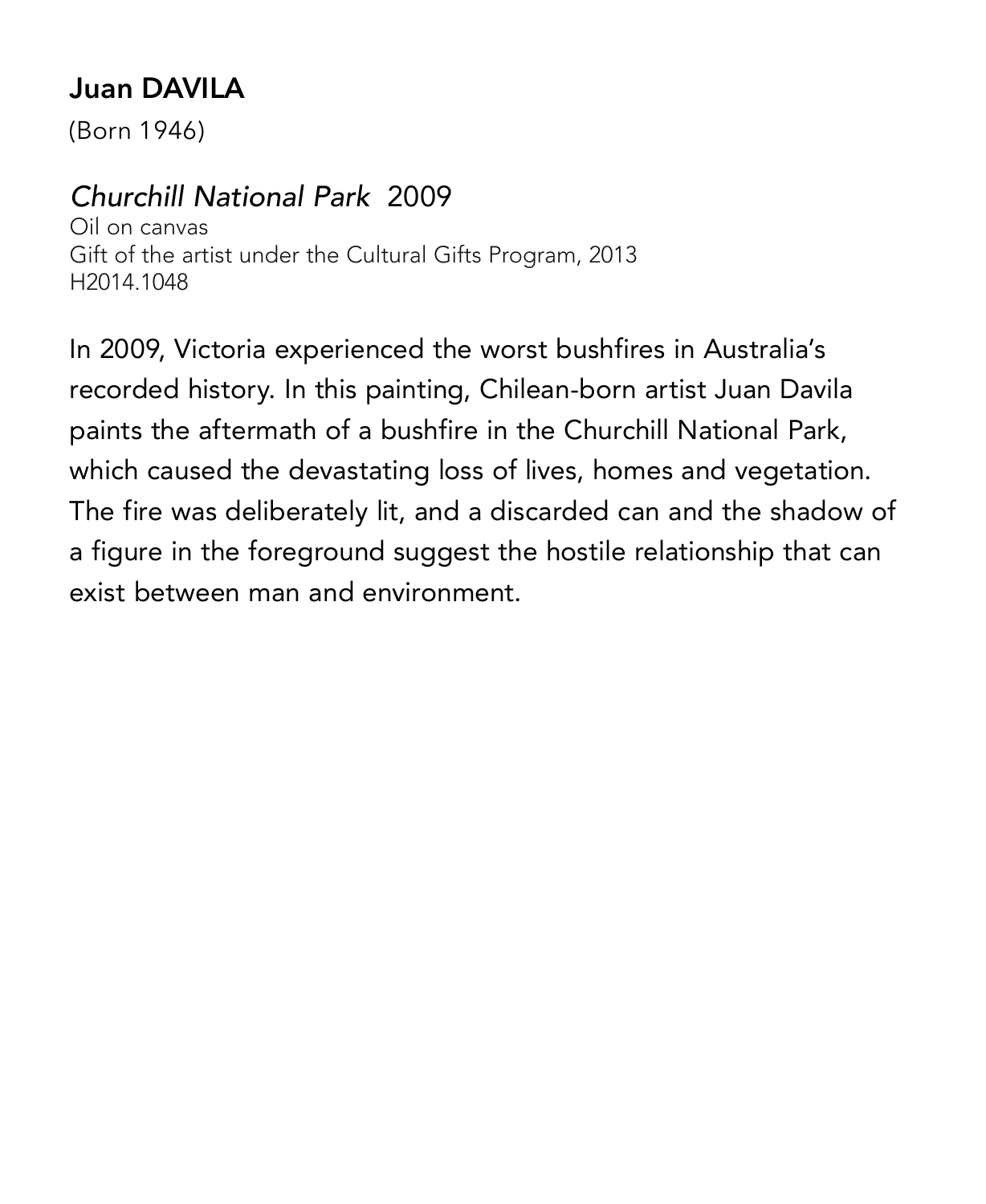# **Juan DAVILA**

(Born 1946)

#### *Churchill National Park* 2009

Oil on canvas Gift of the artist under the Cultural Gifts Program, 2013 H2014.1048

In 2009, Victoria experienced the worst bushfires in Australia's recorded history. In this painting, Chilean-born artist Juan Davila paints the aftermath of a bushfire in the Churchill National Park, which caused the devastating loss of lives, homes and vegetation. The fire was deliberately lit, and a discarded can and the shadow of a figure in the foreground suggest the hostile relationship that can exist between man and environment.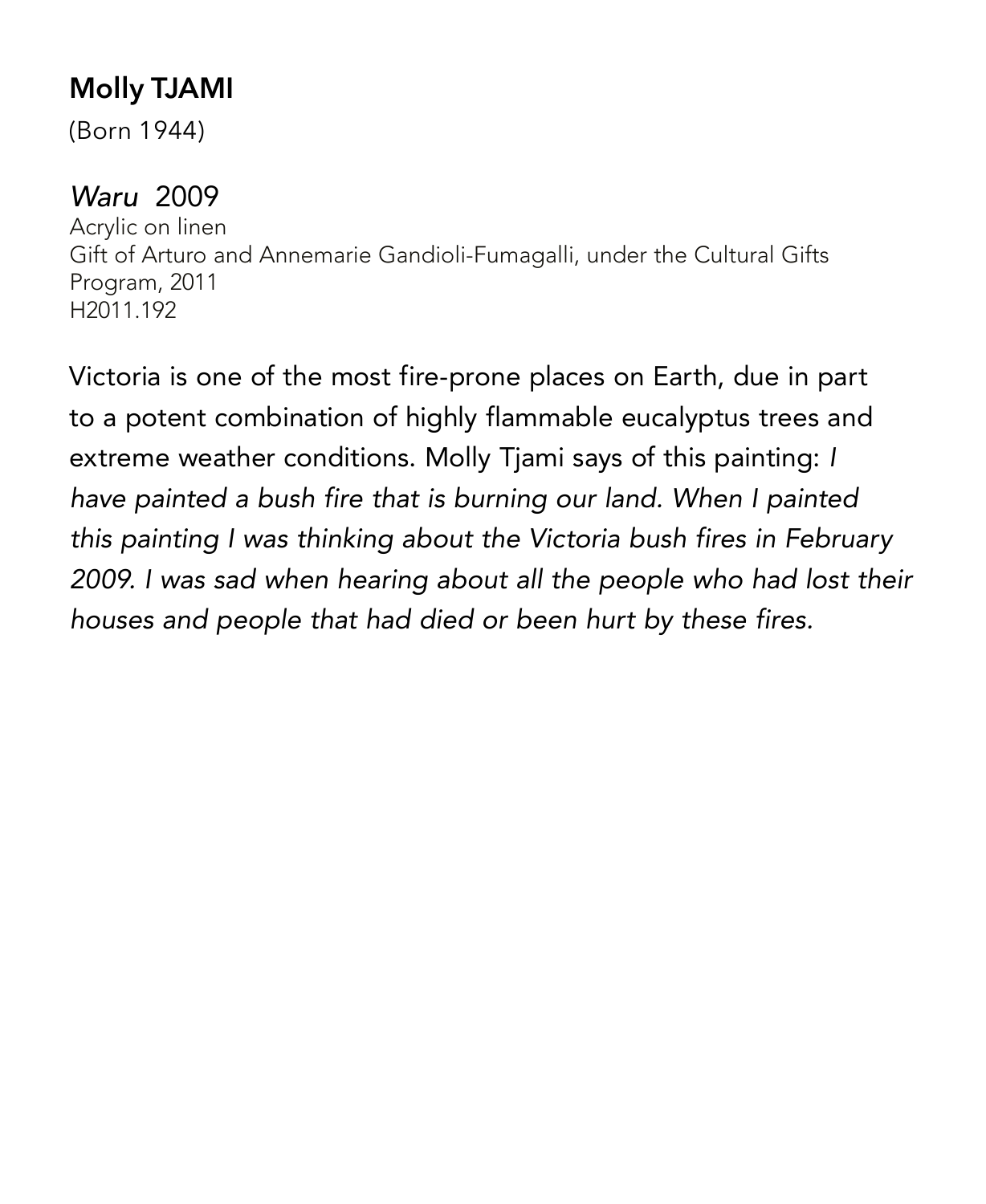# **Molly TJAMI**

(Born 1944)

#### *Waru* 2009

Acrylic on linen Gift of Arturo and Annemarie Gandioli-Fumagalli, under the Cultural Gifts Program, 2011 H2011.192

Victoria is one of the most fire-prone places on Earth, due in part to a potent combination of highly flammable eucalyptus trees and extreme weather conditions. Molly Tjami says of this painting: *I have painted a bush fire that is burning our land. When I painted this painting I was thinking about the Victoria bush fires in February 2009. I was sad when hearing about all the people who had lost their houses and people that had died or been hurt by these fires.*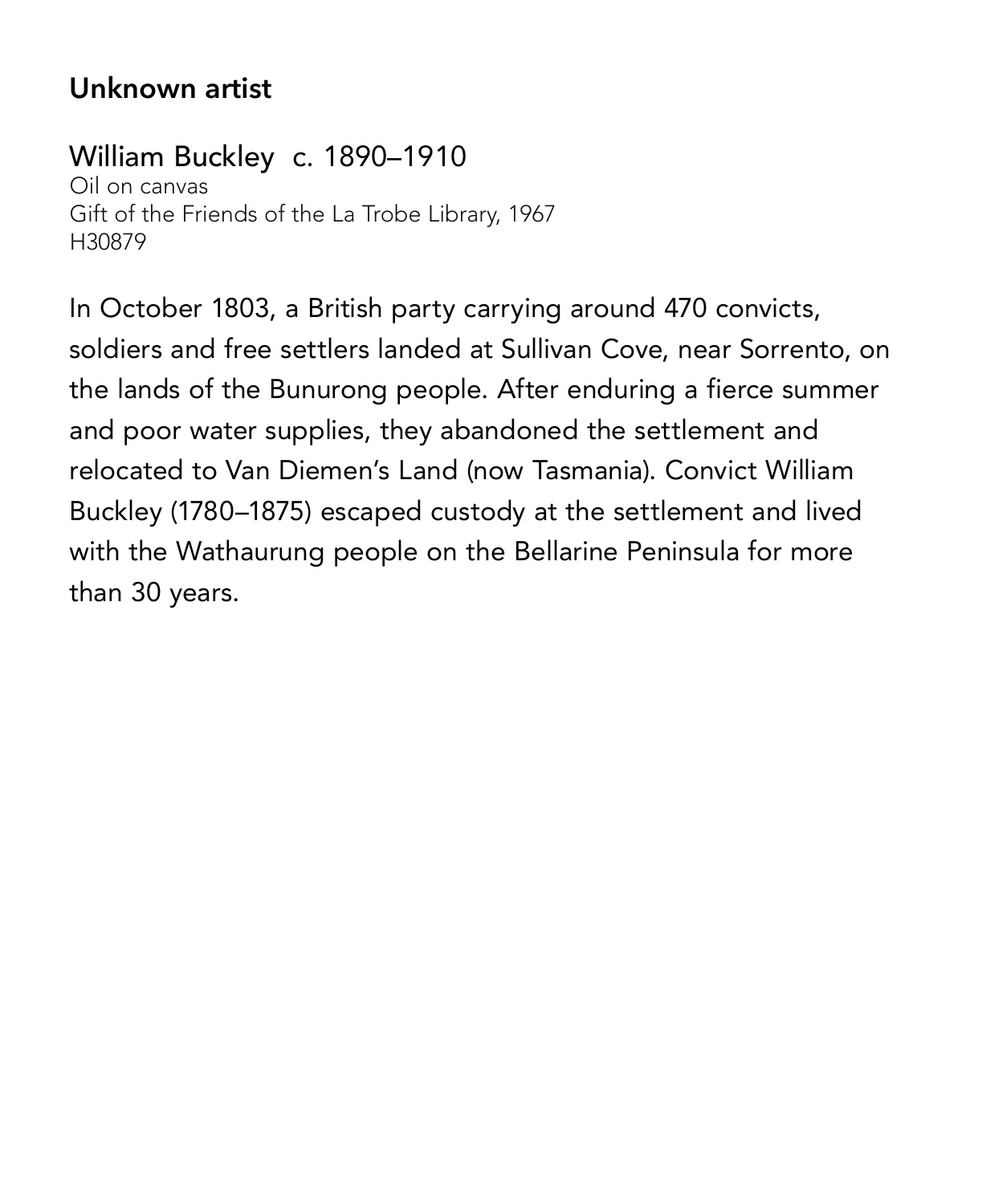#### **Unknown artist**

#### William Buckley c. 1890–1910

Oil on canvas Gift of the Friends of the La Trobe Library, 1967 H30879

In October 1803, a British party carrying around 470 convicts, soldiers and free settlers landed at Sullivan Cove, near Sorrento, on the lands of the Bunurong people. After enduring a fierce summer and poor water supplies, they abandoned the settlement and relocated to Van Diemen's Land (now Tasmania). Convict William Buckley (1780–1875) escaped custody at the settlement and lived with the Wathaurung people on the Bellarine Peninsula for more than 30 years.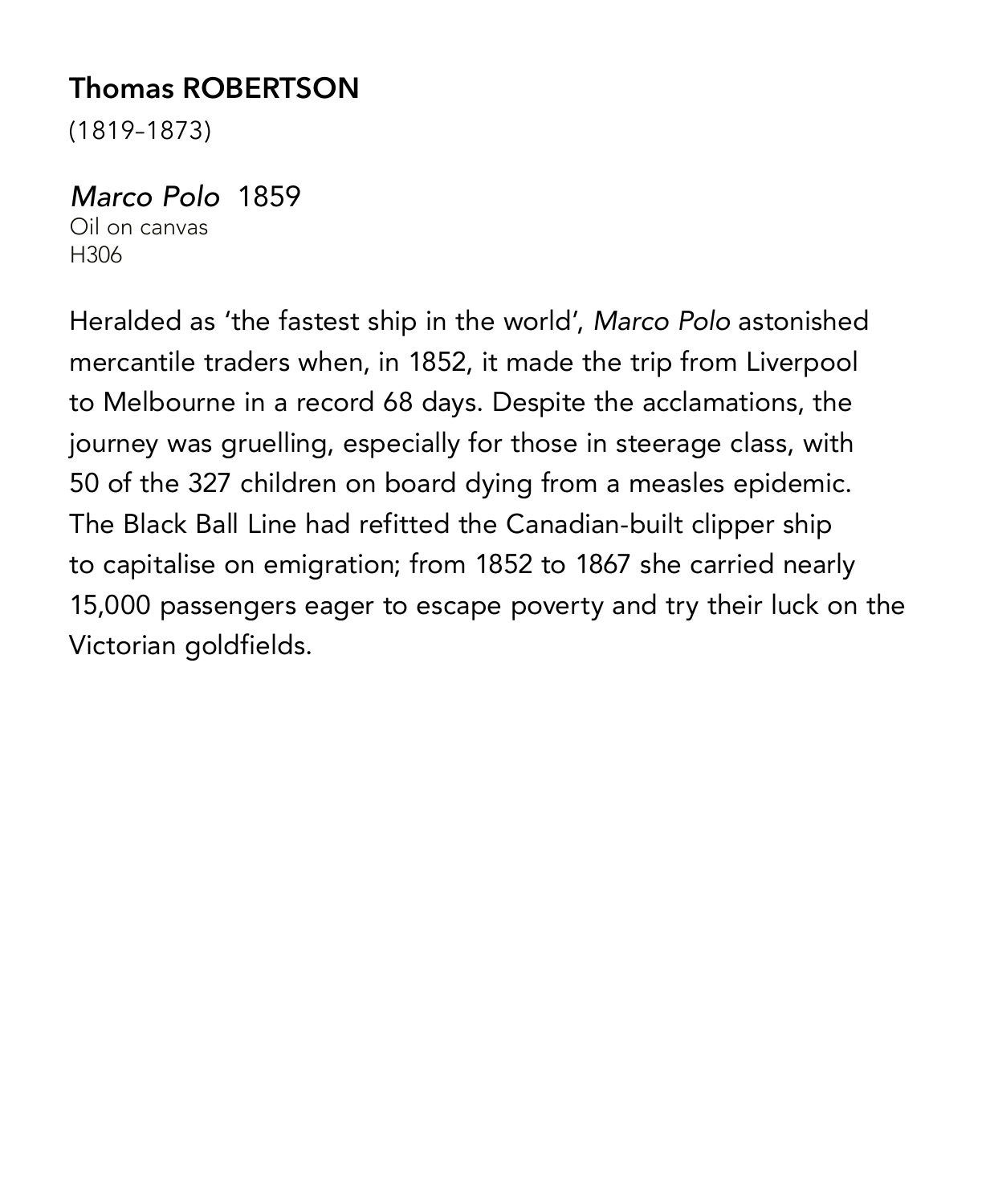# **Thomas ROBERTSON**

(1819–1873)

#### *Marco Polo* 1859

Oil on canvas H306

Heralded as 'the fastest ship in the world', *Marco Polo* astonished mercantile traders when, in 1852, it made the trip from Liverpool to Melbourne in a record 68 days. Despite the acclamations, the journey was gruelling, especially for those in steerage class, with 50 of the 327 children on board dying from a measles epidemic. The Black Ball Line had refitted the Canadian-built clipper ship to capitalise on emigration; from 1852 to 1867 she carried nearly 15,000 passengers eager to escape poverty and try their luck on the Victorian goldfields.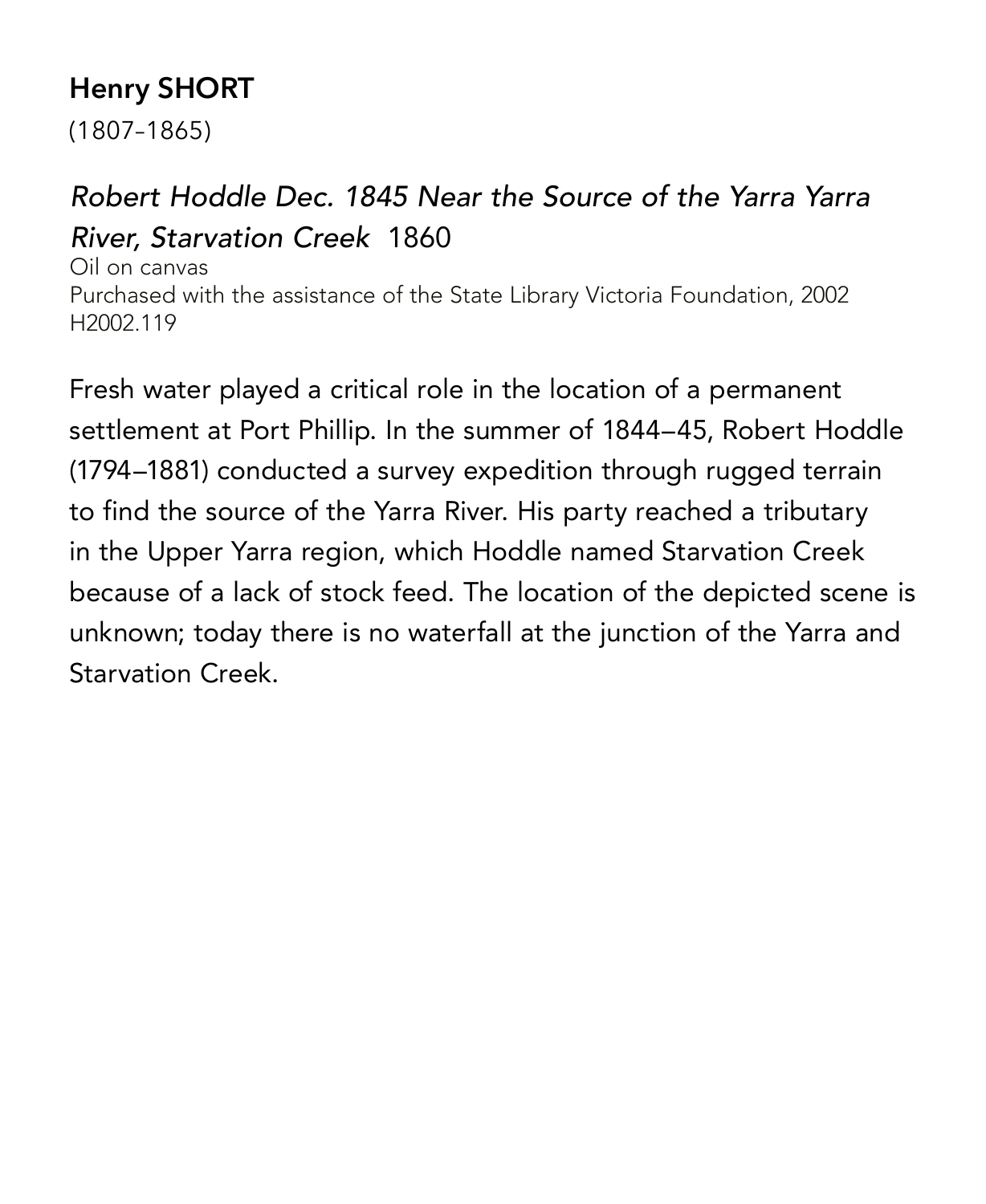# **Henry SHORT**

(1807–1865)

# *Robert Hoddle Dec. 1845 Near the Source of the Yarra Yarra River, Starvation Creek* 1860

Oil on canvas Purchased with the assistance of the State Library Victoria Foundation, 2002 H2002.119

Fresh water played a critical role in the location of a permanent settlement at Port Phillip. In the summer of 1844–45, Robert Hoddle (1794–1881) conducted a survey expedition through rugged terrain to find the source of the Yarra River. His party reached a tributary in the Upper Yarra region, which Hoddle named Starvation Creek because of a lack of stock feed. The location of the depicted scene is unknown; today there is no waterfall at the junction of the Yarra and Starvation Creek.